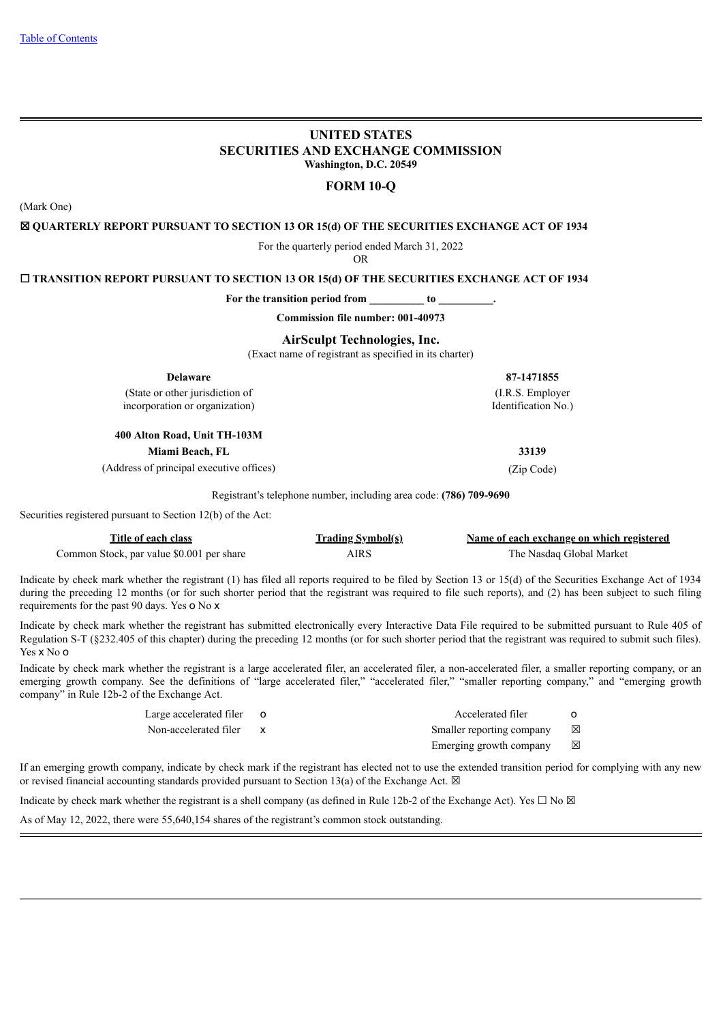# **UNITED STATES SECURITIES AND EXCHANGE COMMISSION Washington, D.C. 20549**

# **FORM 10-Q**

(Mark One)

# ☒ **QUARTERLY REPORT PURSUANT TO SECTION 13 OR 15(d) OF THE SECURITIES EXCHANGE ACT OF 1934**

For the quarterly period ended March 31, 2022

OR

# ☐ **TRANSITION REPORT PURSUANT TO SECTION 13 OR 15(d) OF THE SECURITIES EXCHANGE ACT OF 1934**

**For the transition period from \_\_\_\_\_\_\_\_\_\_ to \_\_\_\_\_\_\_\_\_\_.**

**Commission file number: 001-40973**

**AirSculpt Technologies, Inc.**

(Exact name of registrant as specified in its charter)

(State or other jurisdiction of incorporation or organization)

**400 Alton Road, Unit TH-103M**

**Miami Beach, FL 33139**

(Address of principal executive offices) (Zip Code)

Registrant's telephone number, including area code: **(786) 709-9690**

Securities registered pursuant to Section 12(b) of the Act:

| Title of each class                       | <b>Trading Symbol(s)</b> | Name of each exchange on which registered |
|-------------------------------------------|--------------------------|-------------------------------------------|
| Common Stock, par value \$0.001 per share | AIRS                     | The Nasdag Global Market                  |

Indicate by check mark whether the registrant (1) has filed all reports required to be filed by Section 13 or 15(d) of the Securities Exchange Act of 1934 during the preceding 12 months (or for such shorter period that the registrant was required to file such reports), and (2) has been subject to such filing requirements for the past 90 days. Yes o No x

Indicate by check mark whether the registrant has submitted electronically every Interactive Data File required to be submitted pursuant to Rule 405 of Regulation S-T (§232.405 of this chapter) during the preceding 12 months (or for such shorter period that the registrant was required to submit such files). Yes x No o

Indicate by check mark whether the registrant is a large accelerated filer, an accelerated filer, a non-accelerated filer, a smaller reporting company, or an emerging growth company. See the definitions of "large accelerated filer," "accelerated filer," "smaller reporting company," and "emerging growth company" in Rule 12b-2 of the Exchange Act.

| Large accelerated filer | Accelerated filer         |   |
|-------------------------|---------------------------|---|
| Non-accelerated filer   | Smaller reporting company | ⊠ |
|                         | Emerging growth company   | ⊠ |

If an emerging growth company, indicate by check mark if the registrant has elected not to use the extended transition period for complying with any new or revised financial accounting standards provided pursuant to Section 13(a) of the Exchange Act.  $\boxtimes$ 

Indicate by check mark whether the registrant is a shell company (as defined in Rule 12b-2 of the Exchange Act). Yes  $\Box$  No  $\boxtimes$ 

<span id="page-0-0"></span>As of May 12, 2022, there were 55,640,154 shares of the registrant's common stock outstanding.

**Delaware 87-1471855** (I.R.S. Employer

Identification No.)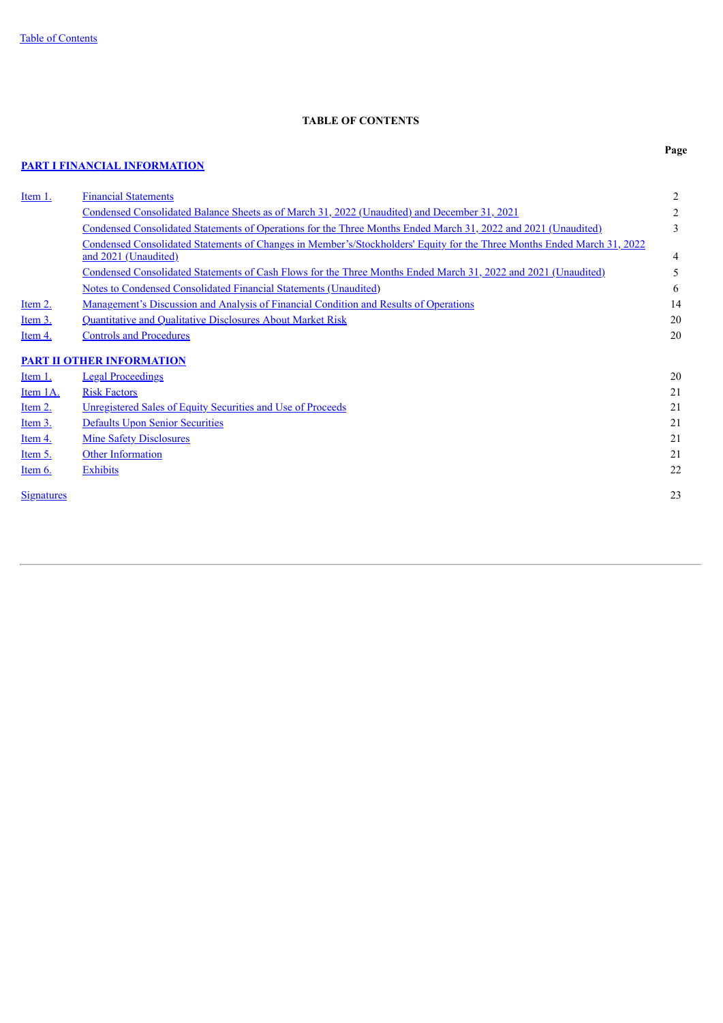# **TABLE OF CONTENTS**

# **PART I FINANCIAL [INFORMATION](#page-2-0)**

| Item 1.           | <b>Financial Statements</b>                                                                                             | 2  |
|-------------------|-------------------------------------------------------------------------------------------------------------------------|----|
|                   | Condensed Consolidated Balance Sheets as of March 31, 2022 (Unaudited) and December 31, 2021                            | 2  |
|                   | Condensed Consolidated Statements of Operations for the Three Months Ended March 31, 2022 and 2021 (Unaudited)          | 3  |
|                   | Condensed Consolidated Statements of Changes in Member's/Stockholders' Equity for the Three Months Ended March 31, 2022 |    |
|                   | and 2021 (Unaudited)                                                                                                    | 4  |
|                   | Condensed Consolidated Statements of Cash Flows for the Three Months Ended March 31, 2022 and 2021 (Unaudited)          | 5  |
|                   | <b>Notes to Condensed Consolidated Financial Statements (Unaudited)</b>                                                 | 6  |
| Item 2.           | <u>Management's Discussion and Analysis of Financial Condition and Results of Operations</u>                            | 14 |
| Item 3.           | Quantitative and Qualitative Disclosures About Market Risk                                                              | 20 |
| Item 4.           | <b>Controls and Procedures</b>                                                                                          | 20 |
|                   | <b>PART II OTHER INFORMATION</b>                                                                                        |    |
| Item 1.           | <b>Legal Proceedings</b>                                                                                                | 20 |
| Item 1A.          | <b>Risk Factors</b>                                                                                                     | 21 |
| Item 2.           | Unregistered Sales of Equity Securities and Use of Proceeds                                                             | 21 |
| Item 3.           | <b>Defaults Upon Senior Securities</b>                                                                                  | 21 |
| Item 4.           | <b>Mine Safety Disclosures</b>                                                                                          | 21 |
| Item 5.           | <b>Other Information</b>                                                                                                | 21 |
| Item $6.$         | <b>Exhibits</b>                                                                                                         | 22 |
| <b>Signatures</b> |                                                                                                                         | 23 |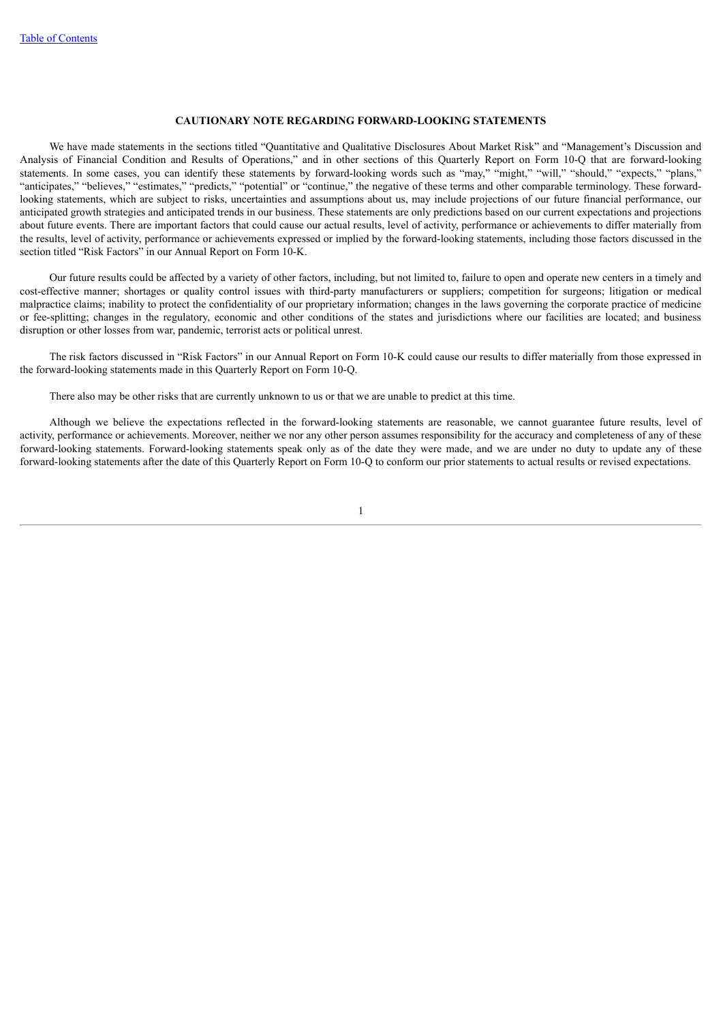#### **CAUTIONARY NOTE REGARDING FORWARD-LOOKING STATEMENTS**

We have made statements in the sections titled "Quantitative and Qualitative Disclosures About Market Risk" and "Management's Discussion and Analysis of Financial Condition and Results of Operations," and in other sections of this Quarterly Report on Form 10-Q that are forward-looking statements. In some cases, you can identify these statements by forward-looking words such as "may," "might," "will," "should," "expects," "plans," "anticipates," "believes," "estimates," "predicts," "potential" or "continue," the negative of these terms and other comparable terminology. These forwardlooking statements, which are subject to risks, uncertainties and assumptions about us, may include projections of our future financial performance, our anticipated growth strategies and anticipated trends in our business. These statements are only predictions based on our current expectations and projections about future events. There are important factors that could cause our actual results, level of activity, performance or achievements to differ materially from the results, level of activity, performance or achievements expressed or implied by the forward-looking statements, including those factors discussed in the section titled "Risk Factors" in our Annual Report on Form 10-K.

Our future results could be affected by a variety of other factors, including, but not limited to, failure to open and operate new centers in a timely and cost-effective manner; shortages or quality control issues with third-party manufacturers or suppliers; competition for surgeons; litigation or medical malpractice claims; inability to protect the confidentiality of our proprietary information; changes in the laws governing the corporate practice of medicine or fee-splitting; changes in the regulatory, economic and other conditions of the states and jurisdictions where our facilities are located; and business disruption or other losses from war, pandemic, terrorist acts or political unrest.

The risk factors discussed in "Risk Factors" in our Annual Report on Form 10-K could cause our results to differ materially from those expressed in the forward-looking statements made in this Quarterly Report on Form 10-Q.

There also may be other risks that are currently unknown to us or that we are unable to predict at this time.

<span id="page-2-0"></span>Although we believe the expectations reflected in the forward-looking statements are reasonable, we cannot guarantee future results, level of activity, performance or achievements. Moreover, neither we nor any other person assumes responsibility for the accuracy and completeness of any of these forward-looking statements. Forward-looking statements speak only as of the date they were made, and we are under no duty to update any of these forward-looking statements after the date of this Quarterly Report on Form 10-Q to conform our prior statements to actual results or revised expectations.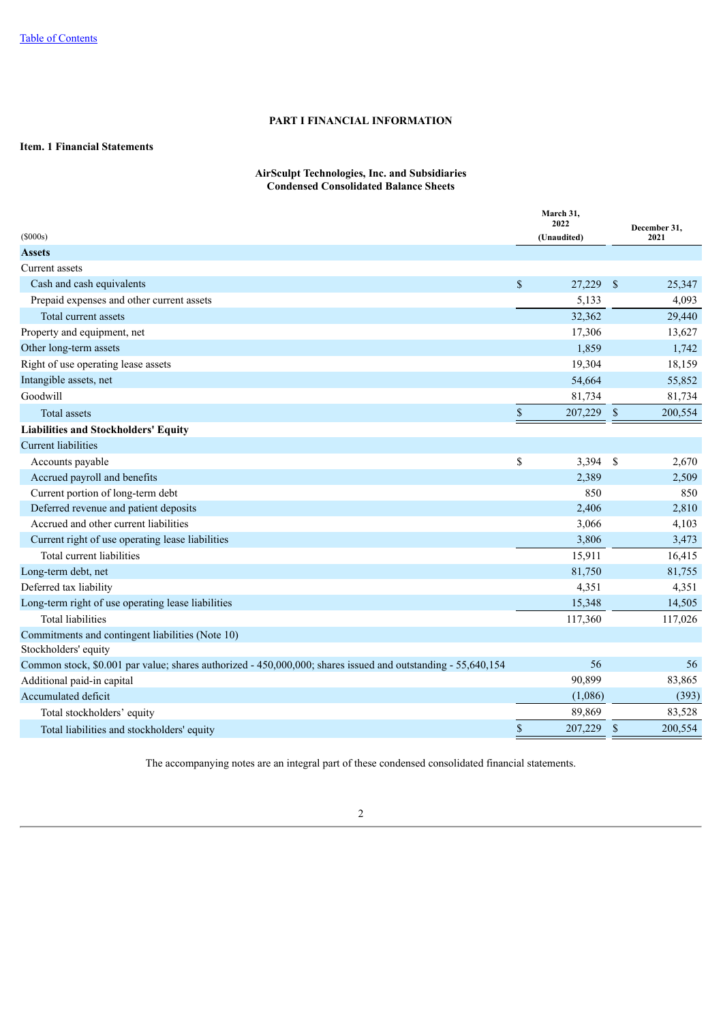# **PART I FINANCIAL INFORMATION**

# <span id="page-3-1"></span><span id="page-3-0"></span>**Item. 1 Financial Statements**

### **AirSculpt Technologies, Inc. and Subsidiaries Condensed Consolidated Balance Sheets**

|                                                                                                              |              | March 31,<br>2022 |               | December 31, |
|--------------------------------------------------------------------------------------------------------------|--------------|-------------------|---------------|--------------|
| (S000s)                                                                                                      |              | (Unaudited)       |               | 2021         |
| <b>Assets</b>                                                                                                |              |                   |               |              |
| Current assets                                                                                               |              |                   |               |              |
| Cash and cash equivalents                                                                                    | $\mathbb{S}$ | 27,229            | $\mathcal{S}$ | 25,347       |
| Prepaid expenses and other current assets                                                                    |              | 5,133             |               | 4,093        |
| Total current assets                                                                                         |              | 32,362            |               | 29,440       |
| Property and equipment, net                                                                                  |              | 17,306            |               | 13,627       |
| Other long-term assets                                                                                       |              | 1,859             |               | 1,742        |
| Right of use operating lease assets                                                                          |              | 19,304            |               | 18,159       |
| Intangible assets, net                                                                                       |              | 54,664            |               | 55,852       |
| Goodwill                                                                                                     |              | 81,734            |               | 81,734       |
| <b>Total assets</b>                                                                                          | \$           | 207,229           | $\mathcal{S}$ | 200,554      |
| <b>Liabilities and Stockholders' Equity</b>                                                                  |              |                   |               |              |
| <b>Current liabilities</b>                                                                                   |              |                   |               |              |
| Accounts payable                                                                                             | \$           | 3,394             | -S            | 2,670        |
| Accrued payroll and benefits                                                                                 |              | 2,389             |               | 2,509        |
| Current portion of long-term debt                                                                            |              | 850               |               | 850          |
| Deferred revenue and patient deposits                                                                        |              | 2,406             |               | 2,810        |
| Accrued and other current liabilities                                                                        |              | 3,066             |               | 4,103        |
| Current right of use operating lease liabilities                                                             |              | 3,806             |               | 3,473        |
| Total current liabilities                                                                                    |              | 15,911            |               | 16,415       |
| Long-term debt, net                                                                                          |              | 81,750            |               | 81,755       |
| Deferred tax liability                                                                                       |              | 4,351             |               | 4,351        |
| Long-term right of use operating lease liabilities                                                           |              | 15,348            |               | 14,505       |
| <b>Total liabilities</b>                                                                                     |              | 117,360           |               | 117,026      |
| Commitments and contingent liabilities (Note 10)                                                             |              |                   |               |              |
| Stockholders' equity                                                                                         |              |                   |               |              |
| Common stock, \$0.001 par value; shares authorized - 450,000,000; shares issued and outstanding - 55,640,154 |              | 56                |               | 56           |
| Additional paid-in capital                                                                                   |              | 90,899            |               | 83,865       |
| Accumulated deficit                                                                                          |              | (1,086)           |               | (393)        |
| Total stockholders' equity                                                                                   |              | 89,869            |               | 83,528       |
| Total liabilities and stockholders' equity                                                                   | $\$$         | 207,229           | $\mathbb{S}$  | 200,554      |

<span id="page-3-2"></span>The accompanying notes are an integral part of these condensed consolidated financial statements.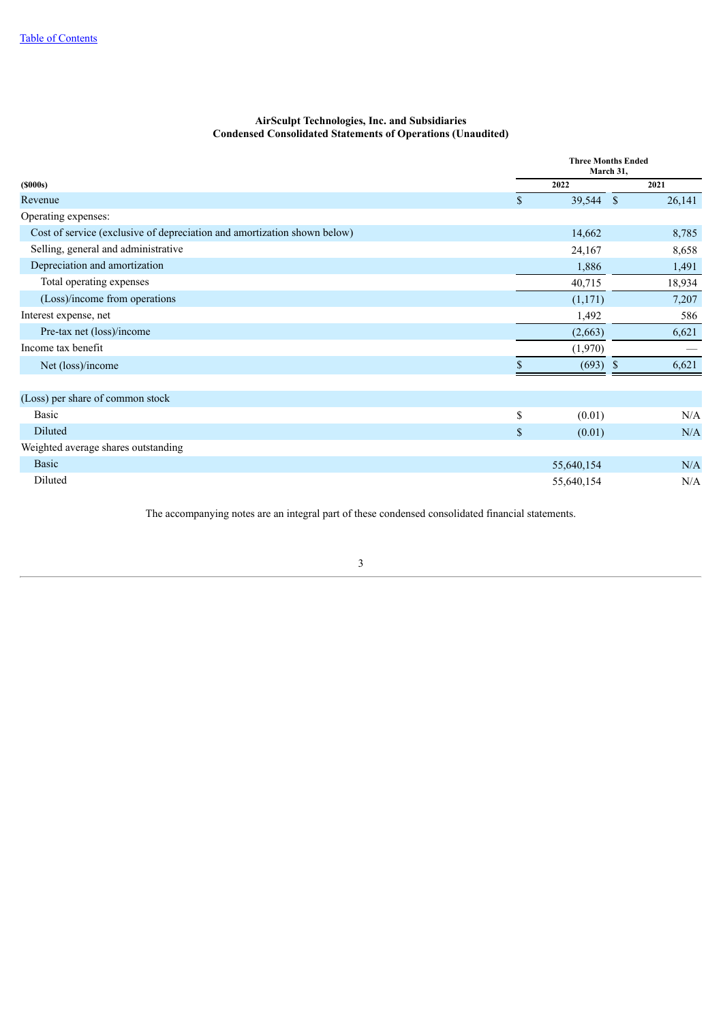# **AirSculpt Technologies, Inc. and Subsidiaries Condensed Consolidated Statements of Operations (Unaudited)**

|                                                                          | <b>Three Months Ended</b><br>March 31, |            |  |        |  |  |
|--------------------------------------------------------------------------|----------------------------------------|------------|--|--------|--|--|
| $($ \$000s $)$                                                           |                                        | 2022       |  | 2021   |  |  |
| Revenue                                                                  | \$                                     | 39,544 \$  |  | 26,141 |  |  |
| Operating expenses:                                                      |                                        |            |  |        |  |  |
| Cost of service (exclusive of depreciation and amortization shown below) |                                        | 14,662     |  | 8,785  |  |  |
| Selling, general and administrative                                      |                                        | 24,167     |  | 8,658  |  |  |
| Depreciation and amortization                                            |                                        | 1,886      |  | 1,491  |  |  |
| Total operating expenses                                                 |                                        | 40,715     |  | 18,934 |  |  |
| (Loss)/income from operations                                            |                                        | (1,171)    |  | 7,207  |  |  |
| Interest expense, net                                                    |                                        | 1,492      |  | 586    |  |  |
| Pre-tax net (loss)/income                                                |                                        | (2,663)    |  | 6,621  |  |  |
| Income tax benefit                                                       |                                        | (1,970)    |  |        |  |  |
| Net (loss)/income                                                        |                                        | $(693)$ \$ |  | 6,621  |  |  |
| (Loss) per share of common stock                                         |                                        |            |  |        |  |  |
| <b>Basic</b>                                                             | \$                                     | (0.01)     |  | N/A    |  |  |
| Diluted                                                                  | $\mathbf{\hat{S}}$                     | (0.01)     |  | N/A    |  |  |
| Weighted average shares outstanding                                      |                                        |            |  |        |  |  |
| Basic                                                                    |                                        | 55,640,154 |  | N/A    |  |  |
| Diluted                                                                  |                                        | 55,640,154 |  | N/A    |  |  |

<span id="page-4-0"></span>The accompanying notes are an integral part of these condensed consolidated financial statements.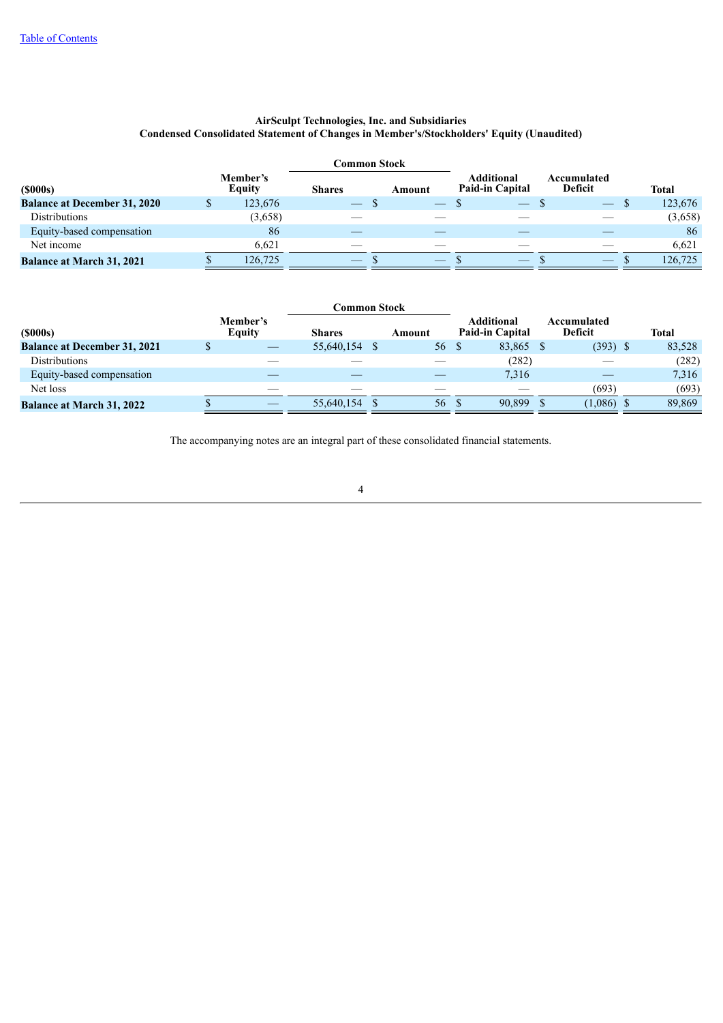# **AirSculpt Technologies, Inc. and Subsidiaries Condensed Consolidated Statement of Changes in Member's/Stockholders' Equity (Unaudited)**

|                                     |                           | Common Stock                   |                                |                                             |                               |              |
|-------------------------------------|---------------------------|--------------------------------|--------------------------------|---------------------------------------------|-------------------------------|--------------|
| (S000s)                             | Member's<br><b>Equity</b> | <b>Shares</b>                  | Amount                         | <b>Additional</b><br><b>Paid-in Capital</b> | Accumulated<br><b>Deficit</b> | <b>Total</b> |
| <b>Balance at December 31, 2020</b> | 123,676                   |                                | $\overline{\phantom{a}}$       |                                             | $\overline{\phantom{a}}$      | 123,676      |
| <b>Distributions</b>                | (3,658)                   |                                |                                |                                             |                               | (3,658)      |
| Equity-based compensation           | 86                        |                                |                                |                                             |                               | 86           |
| Net income                          | 6.621                     |                                |                                |                                             |                               | 6,621        |
| <b>Balance at March 31, 2021</b>    | 126,725                   | $\qquad \qquad \longleftarrow$ | $\overbrace{\hspace{25mm}}^{}$ |                                             | $\overbrace{\phantom{13333}}$ | 126,725      |

|                                     |                    | Common Stock  |        |                                             |                               |              |
|-------------------------------------|--------------------|---------------|--------|---------------------------------------------|-------------------------------|--------------|
| $($ \$000s $)$                      | Member's<br>Equity | <b>Shares</b> | Amount | <b>Additional</b><br><b>Paid-in Capital</b> | Accumulated<br><b>Deficit</b> | <b>Total</b> |
| <b>Balance at December 31, 2021</b> |                    | 55,640,154    | 56     | 83,865                                      | $(393)$ \$                    | 83,528       |
| <b>Distributions</b>                |                    |               |        | (282)                                       |                               | (282)        |
| Equity-based compensation           |                    |               |        | 7.316                                       |                               | 7,316        |
| Net loss                            |                    |               |        |                                             | (693)                         | (693)        |
| <b>Balance at March 31, 2022</b>    |                    | 55,640,154    | 56     | 90.899                                      | $1,086$ \$                    | 89,869       |

<span id="page-5-0"></span>The accompanying notes are an integral part of these consolidated financial statements.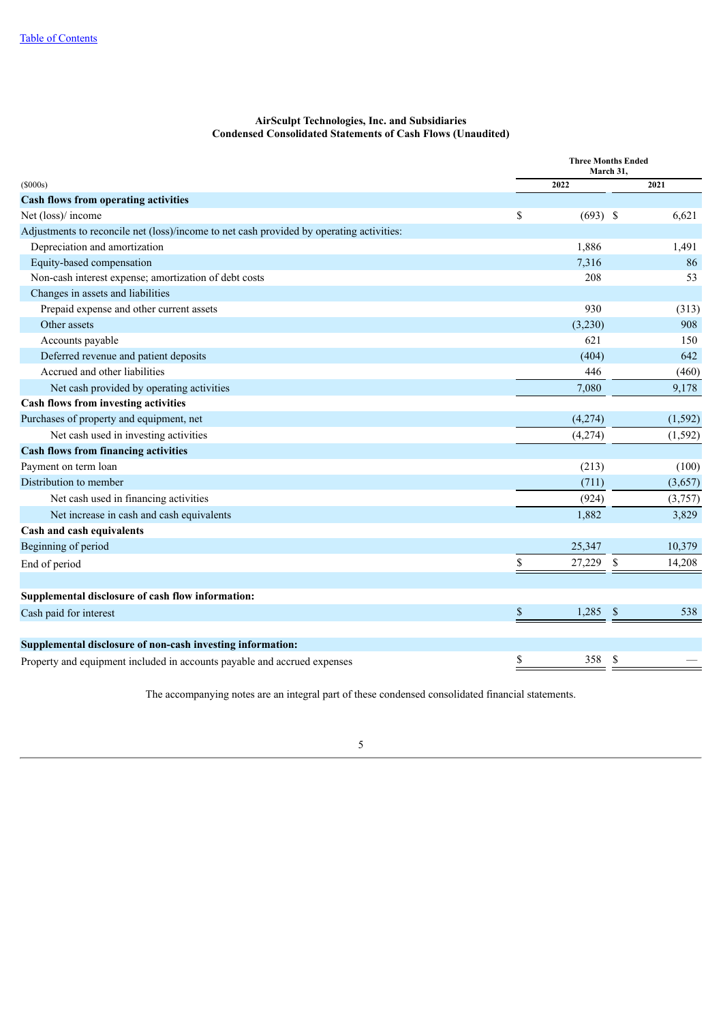# **AirSculpt Technologies, Inc. and Subsidiaries Condensed Consolidated Statements of Cash Flows (Unaudited)**

|                                                                                          | <b>Three Months Ended</b><br>March 31, |            |    |          |  |
|------------------------------------------------------------------------------------------|----------------------------------------|------------|----|----------|--|
| (\$000s)                                                                                 | 2022                                   |            |    | 2021     |  |
| <b>Cash flows from operating activities</b>                                              |                                        |            |    |          |  |
| Net (loss)/ income                                                                       | \$                                     | $(693)$ \$ |    | 6,621    |  |
| Adjustments to reconcile net (loss)/income to net cash provided by operating activities: |                                        |            |    |          |  |
| Depreciation and amortization                                                            |                                        | 1,886      |    | 1,491    |  |
| Equity-based compensation                                                                |                                        | 7,316      |    | 86       |  |
| Non-cash interest expense; amortization of debt costs                                    |                                        | 208        |    | 53       |  |
| Changes in assets and liabilities                                                        |                                        |            |    |          |  |
| Prepaid expense and other current assets                                                 |                                        | 930        |    | (313)    |  |
| Other assets                                                                             |                                        | (3,230)    |    | 908      |  |
| Accounts payable                                                                         |                                        | 621        |    | 150      |  |
| Deferred revenue and patient deposits                                                    |                                        | (404)      |    | 642      |  |
| Accrued and other liabilities                                                            |                                        | 446        |    | (460)    |  |
| Net cash provided by operating activities                                                |                                        | 7,080      |    | 9,178    |  |
| Cash flows from investing activities                                                     |                                        |            |    |          |  |
| Purchases of property and equipment, net                                                 |                                        | (4,274)    |    | (1, 592) |  |
| Net cash used in investing activities                                                    |                                        | (4,274)    |    | (1, 592) |  |
| <b>Cash flows from financing activities</b>                                              |                                        |            |    |          |  |
| Payment on term loan                                                                     |                                        | (213)      |    | (100)    |  |
| Distribution to member                                                                   |                                        | (711)      |    | (3,657)  |  |
| Net cash used in financing activities                                                    |                                        | (924)      |    | (3,757)  |  |
| Net increase in cash and cash equivalents                                                |                                        | 1,882      |    | 3,829    |  |
| Cash and cash equivalents                                                                |                                        |            |    |          |  |
| Beginning of period                                                                      |                                        | 25,347     |    | 10,379   |  |
| End of period                                                                            | \$                                     | 27,229     | \$ | 14,208   |  |
| Supplemental disclosure of cash flow information:                                        |                                        |            |    |          |  |
| Cash paid for interest                                                                   | \$                                     | 1,285      | \$ | 538      |  |
| Supplemental disclosure of non-cash investing information:                               |                                        |            |    |          |  |
|                                                                                          | \$                                     | 358        | \$ |          |  |
| Property and equipment included in accounts payable and accrued expenses                 |                                        |            |    |          |  |

<span id="page-6-0"></span>The accompanying notes are an integral part of these condensed consolidated financial statements.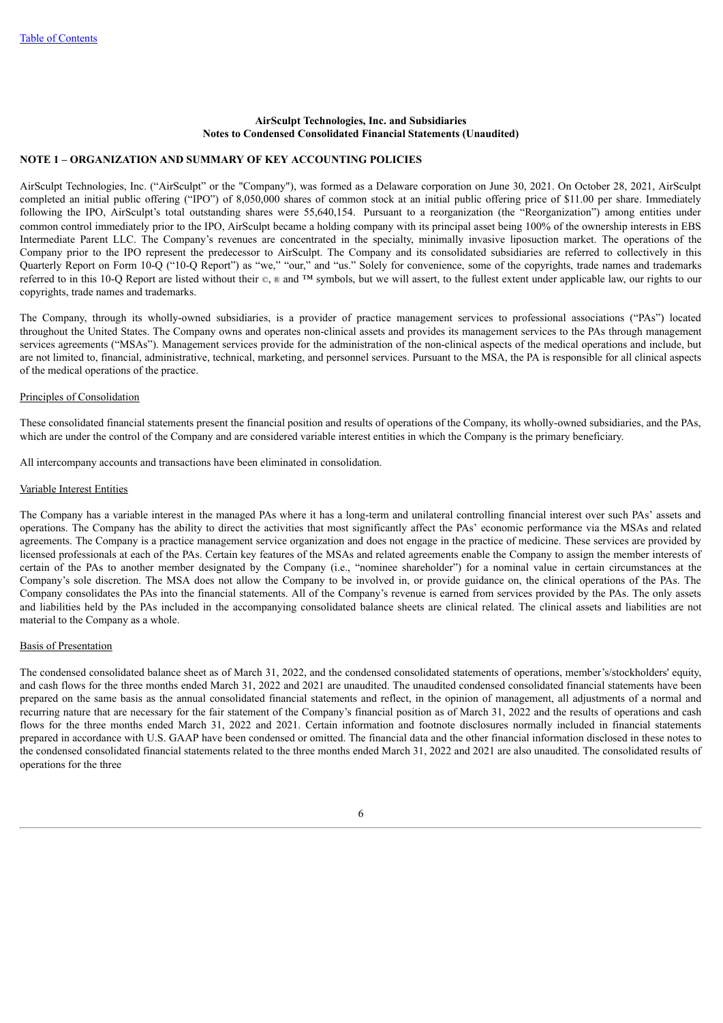# **AirSculpt Technologies, Inc. and Subsidiaries Notes to Condensed Consolidated Financial Statements (Unaudited)**

#### **NOTE 1 – ORGANIZATION AND SUMMARY OF KEY ACCOUNTING POLICIES**

AirSculpt Technologies, Inc. ("AirSculpt" or the "Company"), was formed as a Delaware corporation on June 30, 2021. On October 28, 2021, AirSculpt completed an initial public offering ("IPO") of 8,050,000 shares of common stock at an initial public offering price of \$11.00 per share. Immediately following the IPO, AirSculpt's total outstanding shares were 55,640,154. Pursuant to a reorganization (the "Reorganization") among entities under common control immediately prior to the IPO, AirSculpt became a holding company with its principal asset being 100% of the ownership interests in EBS Intermediate Parent LLC. The Company's revenues are concentrated in the specialty, minimally invasive liposuction market. The operations of the Company prior to the IPO represent the predecessor to AirSculpt. The Company and its consolidated subsidiaries are referred to collectively in this Quarterly Report on Form 10-Q ("10-Q Report") as "we," "our," and "us." Solely for convenience, some of the copyrights, trade names and trademarks referred to in this 10-Q Report are listed without their ©, ® and ™ symbols, but we will assert, to the fullest extent under applicable law, our rights to our copyrights, trade names and trademarks.

The Company, through its wholly-owned subsidiaries, is a provider of practice management services to professional associations ("PAs") located throughout the United States. The Company owns and operates non-clinical assets and provides its management services to the PAs through management services agreements ("MSAs"). Management services provide for the administration of the non-clinical aspects of the medical operations and include, but are not limited to, financial, administrative, technical, marketing, and personnel services. Pursuant to the MSA, the PA is responsible for all clinical aspects of the medical operations of the practice.

# Principles of Consolidation

These consolidated financial statements present the financial position and results of operations of the Company, its wholly-owned subsidiaries, and the PAs, which are under the control of the Company and are considered variable interest entities in which the Company is the primary beneficiary.

All intercompany accounts and transactions have been eliminated in consolidation.

#### Variable Interest Entities

The Company has a variable interest in the managed PAs where it has a long-term and unilateral controlling financial interest over such PAs' assets and operations. The Company has the ability to direct the activities that most significantly affect the PAs' economic performance via the MSAs and related agreements. The Company is a practice management service organization and does not engage in the practice of medicine. These services are provided by licensed professionals at each of the PAs. Certain key features of the MSAs and related agreements enable the Company to assign the member interests of certain of the PAs to another member designated by the Company (i.e., "nominee shareholder") for a nominal value in certain circumstances at the Company's sole discretion. The MSA does not allow the Company to be involved in, or provide guidance on, the clinical operations of the PAs. The Company consolidates the PAs into the financial statements. All of the Company's revenue is earned from services provided by the PAs. The only assets and liabilities held by the PAs included in the accompanying consolidated balance sheets are clinical related. The clinical assets and liabilities are not material to the Company as a whole.

#### Basis of Presentation

The condensed consolidated balance sheet as of March 31, 2022, and the condensed consolidated statements of operations, member's/stockholders' equity, and cash flows for the three months ended March 31, 2022 and 2021 are unaudited. The unaudited condensed consolidated financial statements have been prepared on the same basis as the annual consolidated financial statements and reflect, in the opinion of management, all adjustments of a normal and recurring nature that are necessary for the fair statement of the Company's financial position as of March 31, 2022 and the results of operations and cash flows for the three months ended March 31, 2022 and 2021. Certain information and footnote disclosures normally included in financial statements prepared in accordance with U.S. GAAP have been condensed or omitted. The financial data and the other financial information disclosed in these notes to the condensed consolidated financial statements related to the three months ended March 31, 2022 and 2021 are also unaudited. The consolidated results of operations for the three

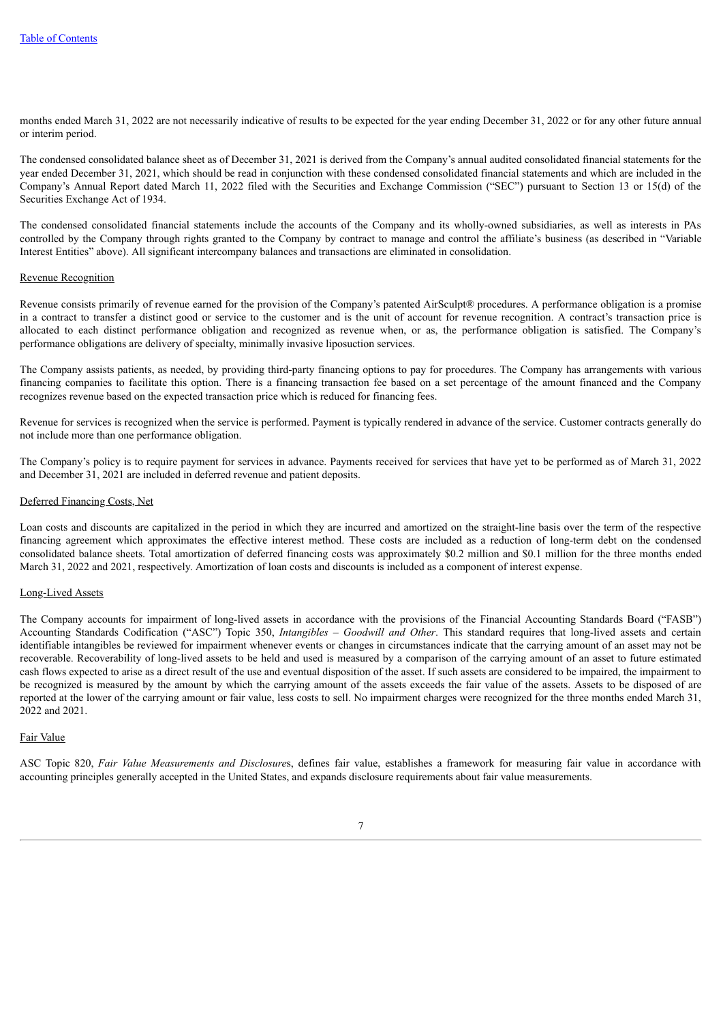months ended March 31, 2022 are not necessarily indicative of results to be expected for the year ending December 31, 2022 or for any other future annual or interim period.

The condensed consolidated balance sheet as of December 31, 2021 is derived from the Company's annual audited consolidated financial statements for the year ended December 31, 2021, which should be read in conjunction with these condensed consolidated financial statements and which are included in the Company's Annual Report dated March 11, 2022 filed with the Securities and Exchange Commission ("SEC") pursuant to Section 13 or 15(d) of the Securities Exchange Act of 1934.

The condensed consolidated financial statements include the accounts of the Company and its wholly-owned subsidiaries, as well as interests in PAs controlled by the Company through rights granted to the Company by contract to manage and control the affiliate's business (as described in "Variable Interest Entities" above). All significant intercompany balances and transactions are eliminated in consolidation.

#### Revenue Recognition

Revenue consists primarily of revenue earned for the provision of the Company's patented AirSculpt® procedures. A performance obligation is a promise in a contract to transfer a distinct good or service to the customer and is the unit of account for revenue recognition. A contract's transaction price is allocated to each distinct performance obligation and recognized as revenue when, or as, the performance obligation is satisfied. The Company's performance obligations are delivery of specialty, minimally invasive liposuction services.

The Company assists patients, as needed, by providing third-party financing options to pay for procedures. The Company has arrangements with various financing companies to facilitate this option. There is a financing transaction fee based on a set percentage of the amount financed and the Company recognizes revenue based on the expected transaction price which is reduced for financing fees.

Revenue for services is recognized when the service is performed. Payment is typically rendered in advance of the service. Customer contracts generally do not include more than one performance obligation.

The Company's policy is to require payment for services in advance. Payments received for services that have yet to be performed as of March 31, 2022 and December 31, 2021 are included in deferred revenue and patient deposits.

# Deferred Financing Costs, Net

Loan costs and discounts are capitalized in the period in which they are incurred and amortized on the straight-line basis over the term of the respective financing agreement which approximates the effective interest method. These costs are included as a reduction of long-term debt on the condensed consolidated balance sheets. Total amortization of deferred financing costs was approximately \$0.2 million and \$0.1 million for the three months ended March 31, 2022 and 2021, respectively. Amortization of loan costs and discounts is included as a component of interest expense.

#### Long-Lived Assets

The Company accounts for impairment of long-lived assets in accordance with the provisions of the Financial Accounting Standards Board ("FASB") Accounting Standards Codification ("ASC") Topic 350, *Intangibles – Goodwill and Other*. This standard requires that long-lived assets and certain identifiable intangibles be reviewed for impairment whenever events or changes in circumstances indicate that the carrying amount of an asset may not be recoverable. Recoverability of long-lived assets to be held and used is measured by a comparison of the carrying amount of an asset to future estimated cash flows expected to arise as a direct result of the use and eventual disposition of the asset. If such assets are considered to be impaired, the impairment to be recognized is measured by the amount by which the carrying amount of the assets exceeds the fair value of the assets. Assets to be disposed of are reported at the lower of the carrying amount or fair value, less costs to sell. No impairment charges were recognized for the three months ended March 31, 2022 and 2021.

## Fair Value

ASC Topic 820, *Fair Value Measurements and Disclosure*s, defines fair value, establishes a framework for measuring fair value in accordance with accounting principles generally accepted in the United States, and expands disclosure requirements about fair value measurements.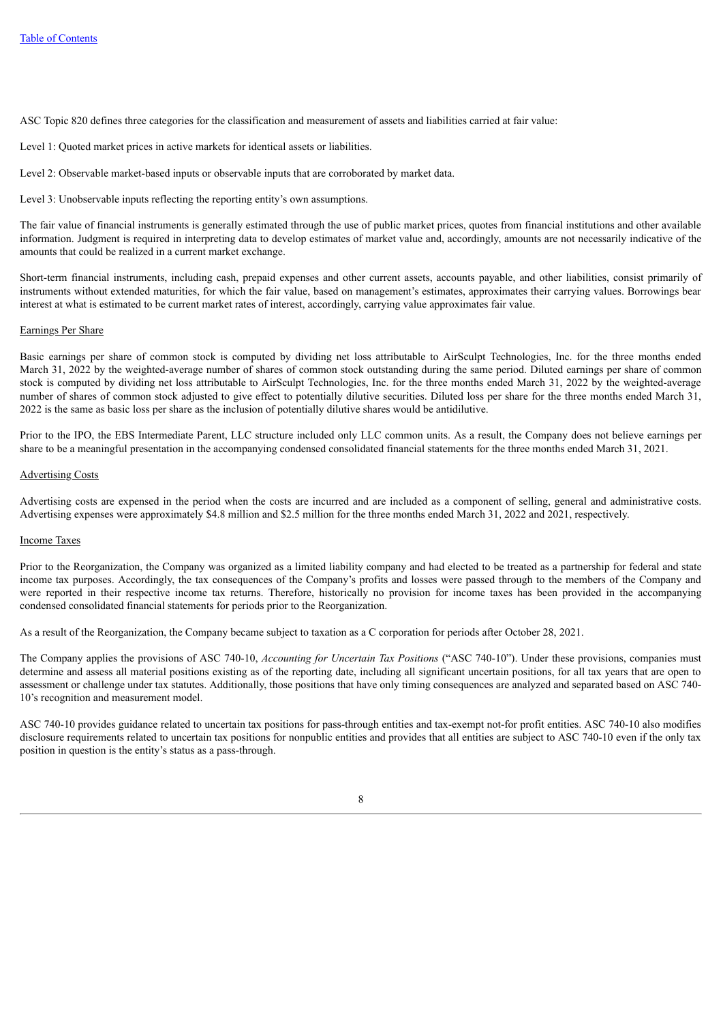ASC Topic 820 defines three categories for the classification and measurement of assets and liabilities carried at fair value:

Level 1: Quoted market prices in active markets for identical assets or liabilities.

Level 2: Observable market-based inputs or observable inputs that are corroborated by market data.

Level 3: Unobservable inputs reflecting the reporting entity's own assumptions.

The fair value of financial instruments is generally estimated through the use of public market prices, quotes from financial institutions and other available information. Judgment is required in interpreting data to develop estimates of market value and, accordingly, amounts are not necessarily indicative of the amounts that could be realized in a current market exchange.

Short-term financial instruments, including cash, prepaid expenses and other current assets, accounts payable, and other liabilities, consist primarily of instruments without extended maturities, for which the fair value, based on management's estimates, approximates their carrying values. Borrowings bear interest at what is estimated to be current market rates of interest, accordingly, carrying value approximates fair value.

# Earnings Per Share

Basic earnings per share of common stock is computed by dividing net loss attributable to AirSculpt Technologies, Inc. for the three months ended March 31, 2022 by the weighted-average number of shares of common stock outstanding during the same period. Diluted earnings per share of common stock is computed by dividing net loss attributable to AirSculpt Technologies, Inc. for the three months ended March 31, 2022 by the weighted-average number of shares of common stock adjusted to give effect to potentially dilutive securities. Diluted loss per share for the three months ended March 31, 2022 is the same as basic loss per share as the inclusion of potentially dilutive shares would be antidilutive.

Prior to the IPO, the EBS Intermediate Parent, LLC structure included only LLC common units. As a result, the Company does not believe earnings per share to be a meaningful presentation in the accompanying condensed consolidated financial statements for the three months ended March 31, 2021.

# Advertising Costs

Advertising costs are expensed in the period when the costs are incurred and are included as a component of selling, general and administrative costs. Advertising expenses were approximately \$4.8 million and \$2.5 million for the three months ended March 31, 2022 and 2021, respectively.

#### Income Taxes

Prior to the Reorganization, the Company was organized as a limited liability company and had elected to be treated as a partnership for federal and state income tax purposes. Accordingly, the tax consequences of the Company's profits and losses were passed through to the members of the Company and were reported in their respective income tax returns. Therefore, historically no provision for income taxes has been provided in the accompanying condensed consolidated financial statements for periods prior to the Reorganization.

As a result of the Reorganization, the Company became subject to taxation as a C corporation for periods after October 28, 2021.

The Company applies the provisions of ASC 740-10, *Accounting for Uncertain Tax Positions* ("ASC 740-10"). Under these provisions, companies must determine and assess all material positions existing as of the reporting date, including all significant uncertain positions, for all tax years that are open to assessment or challenge under tax statutes. Additionally, those positions that have only timing consequences are analyzed and separated based on ASC 740- 10's recognition and measurement model.

ASC 740-10 provides guidance related to uncertain tax positions for pass-through entities and tax-exempt not-for profit entities. ASC 740-10 also modifies disclosure requirements related to uncertain tax positions for nonpublic entities and provides that all entities are subject to ASC 740-10 even if the only tax position in question is the entity's status as a pass-through.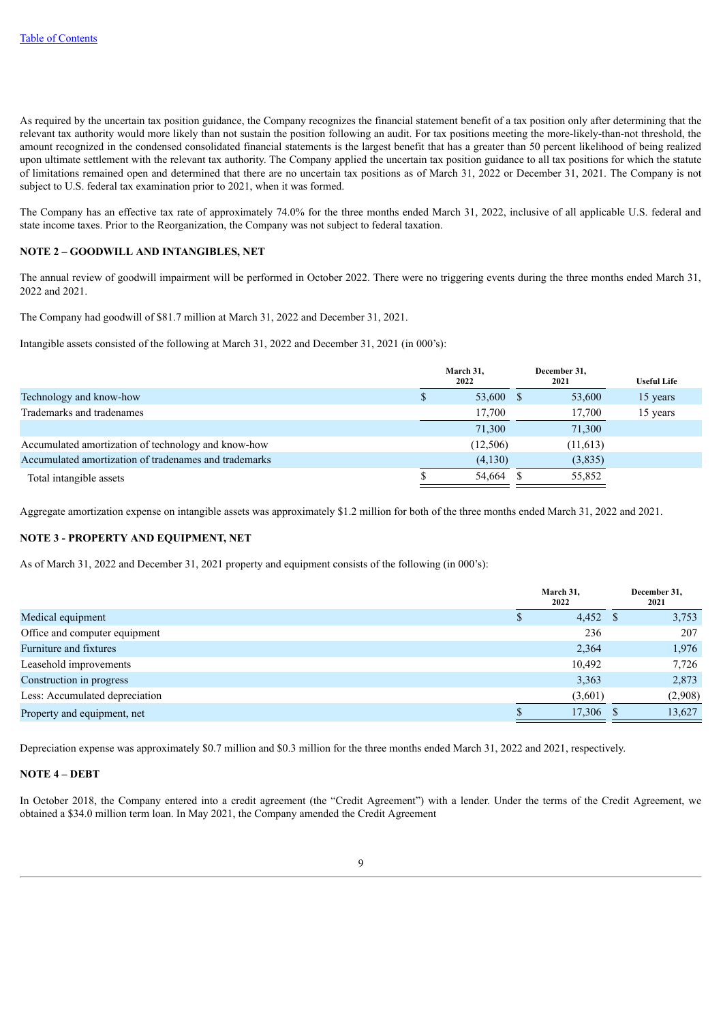As required by the uncertain tax position guidance, the Company recognizes the financial statement benefit of a tax position only after determining that the relevant tax authority would more likely than not sustain the position following an audit. For tax positions meeting the more-likely-than-not threshold, the amount recognized in the condensed consolidated financial statements is the largest benefit that has a greater than 50 percent likelihood of being realized upon ultimate settlement with the relevant tax authority. The Company applied the uncertain tax position guidance to all tax positions for which the statute of limitations remained open and determined that there are no uncertain tax positions as of March 31, 2022 or December 31, 2021. The Company is not subject to U.S. federal tax examination prior to 2021, when it was formed.

The Company has an effective tax rate of approximately 74.0% for the three months ended March 31, 2022, inclusive of all applicable U.S. federal and state income taxes. Prior to the Reorganization, the Company was not subject to federal taxation.

## **NOTE 2 – GOODWILL AND INTANGIBLES, NET**

The annual review of goodwill impairment will be performed in October 2022. There were no triggering events during the three months ended March 31, 2022 and 2021.

The Company had goodwill of \$81.7 million at March 31, 2022 and December 31, 2021.

Intangible assets consisted of the following at March 31, 2022 and December 31, 2021 (in 000's):

|                                                       |   | March 31,<br>2022 | December 31.<br>2021 | <b>Useful Life</b> |
|-------------------------------------------------------|---|-------------------|----------------------|--------------------|
| Technology and know-how                               | ъ | 53,600 \$         | 53,600               | 15 years           |
| Trademarks and tradenames                             |   | 17.700            | 17,700               | 15 years           |
|                                                       |   | 71,300            | 71,300               |                    |
| Accumulated amortization of technology and know-how   |   | (12,506)          | (11, 613)            |                    |
| Accumulated amortization of tradenames and trademarks |   | (4,130)           | (3,835)              |                    |
| Total intangible assets                               |   | 54,664            | 55,852               |                    |

Aggregate amortization expense on intangible assets was approximately \$1.2 million for both of the three months ended March 31, 2022 and 2021.

# **NOTE 3 - PROPERTY AND EQUIPMENT, NET**

As of March 31, 2022 and December 31, 2021 property and equipment consists of the following (in 000's):

|                                |  | March 31,<br>2022 |     | December 31,<br>2021 |  |
|--------------------------------|--|-------------------|-----|----------------------|--|
| Medical equipment              |  | 4,452             | - S | 3,753                |  |
| Office and computer equipment  |  | 236               |     | 207                  |  |
| Furniture and fixtures         |  | 2,364             |     | 1,976                |  |
| Leasehold improvements         |  | 10,492            |     | 7,726                |  |
| Construction in progress       |  | 3,363             |     | 2,873                |  |
| Less: Accumulated depreciation |  | (3,601)           |     | (2,908)              |  |
| Property and equipment, net    |  | 17,306            |     | 13,627               |  |

Depreciation expense was approximately \$0.7 million and \$0.3 million for the three months ended March 31, 2022 and 2021, respectively.

#### **NOTE 4 – DEBT**

In October 2018, the Company entered into a credit agreement (the "Credit Agreement") with a lender. Under the terms of the Credit Agreement, we obtained a \$34.0 million term loan. In May 2021, the Company amended the Credit Agreement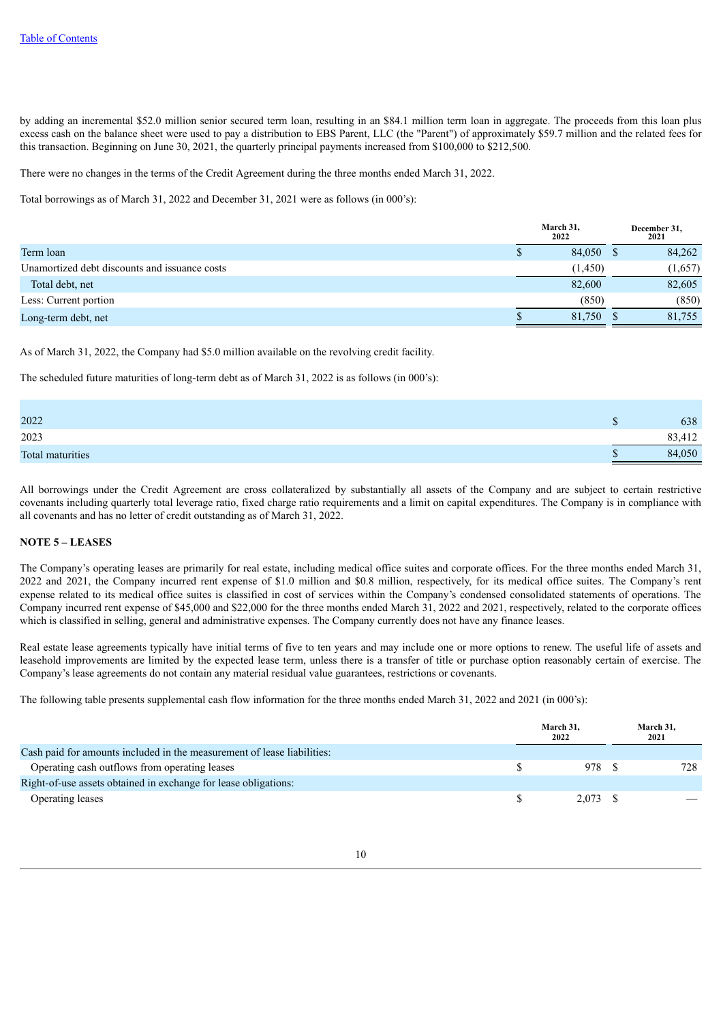by adding an incremental \$52.0 million senior secured term loan, resulting in an \$84.1 million term loan in aggregate. The proceeds from this loan plus excess cash on the balance sheet were used to pay a distribution to EBS Parent, LLC (the "Parent") of approximately \$59.7 million and the related fees for this transaction. Beginning on June 30, 2021, the quarterly principal payments increased from \$100,000 to \$212,500.

There were no changes in the terms of the Credit Agreement during the three months ended March 31, 2022.

Total borrowings as of March 31, 2022 and December 31, 2021 were as follows (in 000's):

|                                               | March 31,<br>2022 | December 31,<br>2021 |
|-----------------------------------------------|-------------------|----------------------|
| Term loan                                     | 84,050            | 84,262               |
| Unamortized debt discounts and issuance costs | (1,450)           | (1,657)              |
| Total debt, net                               | 82,600            | 82,605               |
| Less: Current portion                         | (850)             | (850)                |
| Long-term debt, net                           | 81,750            | 81,755               |

As of March 31, 2022, the Company had \$5.0 million available on the revolving credit facility.

The scheduled future maturities of long-term debt as of March 31, 2022 is as follows (in 000's):

| 2022                    | 638    |
|-------------------------|--------|
| 2023                    | 83,412 |
| <b>Total maturities</b> | 84,050 |

All borrowings under the Credit Agreement are cross collateralized by substantially all assets of the Company and are subject to certain restrictive covenants including quarterly total leverage ratio, fixed charge ratio requirements and a limit on capital expenditures. The Company is in compliance with all covenants and has no letter of credit outstanding as of March 31, 2022.

# **NOTE 5 – LEASES**

The Company's operating leases are primarily for real estate, including medical office suites and corporate offices. For the three months ended March 31, 2022 and 2021, the Company incurred rent expense of \$1.0 million and \$0.8 million, respectively, for its medical office suites. The Company's rent expense related to its medical office suites is classified in cost of services within the Company's condensed consolidated statements of operations. The Company incurred rent expense of \$45,000 and \$22,000 for the three months ended March 31, 2022 and 2021, respectively, related to the corporate offices which is classified in selling, general and administrative expenses. The Company currently does not have any finance leases.

Real estate lease agreements typically have initial terms of five to ten years and may include one or more options to renew. The useful life of assets and leasehold improvements are limited by the expected lease term, unless there is a transfer of title or purchase option reasonably certain of exercise. The Company's lease agreements do not contain any material residual value guarantees, restrictions or covenants.

The following table presents supplemental cash flow information for the three months ended March 31, 2022 and 2021 (in 000's):

|                                                                         | March 31.<br>2022 |  | March 31,<br>2021 |  |
|-------------------------------------------------------------------------|-------------------|--|-------------------|--|
| Cash paid for amounts included in the measurement of lease liabilities: |                   |  |                   |  |
| Operating cash outflows from operating leases                           | 978               |  | 728               |  |
| Right-of-use assets obtained in exchange for lease obligations:         |                   |  |                   |  |
| Operating leases                                                        | 2.073 \$          |  |                   |  |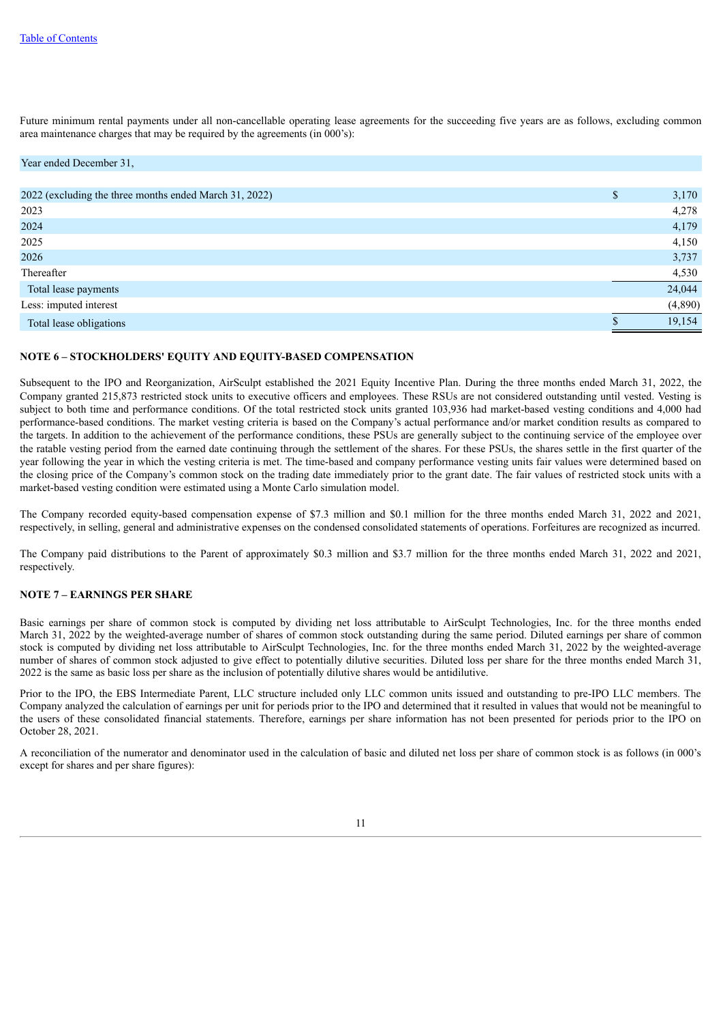Future minimum rental payments under all non-cancellable operating lease agreements for the succeeding five years are as follows, excluding common area maintenance charges that may be required by the agreements (in 000's):

# Year ended December 31, 2022 (excluding the three months ended March 31, 2022)  $\qquad \qquad$  3,170 2023 4,278  $2024$   $4,179$ 2025 4,150  $2026$  3,737 Thereafter 4,530 Total lease payments 24,044 Less: imputed interest (4,890) Total lease obligations  $\qquad \qquad$  19,154

### **NOTE 6 – STOCKHOLDERS' EQUITY AND EQUITY-BASED COMPENSATION**

Subsequent to the IPO and Reorganization, AirSculpt established the 2021 Equity Incentive Plan. During the three months ended March 31, 2022, the Company granted 215,873 restricted stock units to executive officers and employees. These RSUs are not considered outstanding until vested. Vesting is subject to both time and performance conditions. Of the total restricted stock units granted 103,936 had market-based vesting conditions and 4,000 had performance-based conditions. The market vesting criteria is based on the Company's actual performance and/or market condition results as compared to the targets. In addition to the achievement of the performance conditions, these PSUs are generally subject to the continuing service of the employee over the ratable vesting period from the earned date continuing through the settlement of the shares. For these PSUs, the shares settle in the first quarter of the year following the year in which the vesting criteria is met. The time-based and company performance vesting units fair values were determined based on the closing price of the Company's common stock on the trading date immediately prior to the grant date. The fair values of restricted stock units with a market-based vesting condition were estimated using a Monte Carlo simulation model.

The Company recorded equity-based compensation expense of \$7.3 million and \$0.1 million for the three months ended March 31, 2022 and 2021, respectively, in selling, general and administrative expenses on the condensed consolidated statements of operations. Forfeitures are recognized as incurred.

The Company paid distributions to the Parent of approximately \$0.3 million and \$3.7 million for the three months ended March 31, 2022 and 2021, respectively.

# **NOTE 7 – EARNINGS PER SHARE**

Basic earnings per share of common stock is computed by dividing net loss attributable to AirSculpt Technologies, Inc. for the three months ended March 31, 2022 by the weighted-average number of shares of common stock outstanding during the same period. Diluted earnings per share of common stock is computed by dividing net loss attributable to AirSculpt Technologies, Inc. for the three months ended March 31, 2022 by the weighted-average number of shares of common stock adjusted to give effect to potentially dilutive securities. Diluted loss per share for the three months ended March 31, 2022 is the same as basic loss per share as the inclusion of potentially dilutive shares would be antidilutive.

Prior to the IPO, the EBS Intermediate Parent, LLC structure included only LLC common units issued and outstanding to pre-IPO LLC members. The Company analyzed the calculation of earnings per unit for periods prior to the IPO and determined that it resulted in values that would not be meaningful to the users of these consolidated financial statements. Therefore, earnings per share information has not been presented for periods prior to the IPO on October 28, 2021.

A reconciliation of the numerator and denominator used in the calculation of basic and diluted net loss per share of common stock is as follows (in 000's except for shares and per share figures):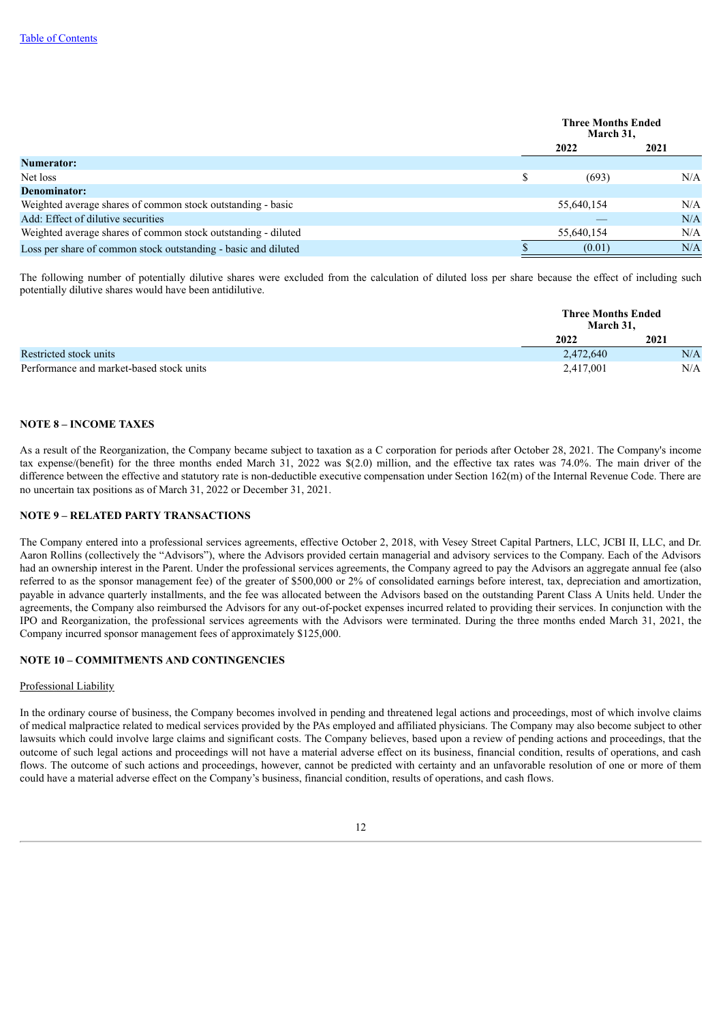|                                                                | <b>Three Months Ended</b><br>March 31, |            |      |
|----------------------------------------------------------------|----------------------------------------|------------|------|
|                                                                |                                        | 2022       | 2021 |
| <b>Numerator:</b>                                              |                                        |            |      |
| Net loss                                                       |                                        | (693)      | N/A  |
| Denominator:                                                   |                                        |            |      |
| Weighted average shares of common stock outstanding - basic    |                                        | 55,640,154 | N/A  |
| Add: Effect of dilutive securities                             |                                        |            | N/A  |
| Weighted average shares of common stock outstanding - diluted  |                                        | 55,640,154 | N/A  |
| Loss per share of common stock outstanding - basic and diluted |                                        | (0.01)     | N/A  |

The following number of potentially dilutive shares were excluded from the calculation of diluted loss per share because the effect of including such potentially dilutive shares would have been antidilutive.

|                                          | <b>Three Months Ended</b><br>March 31, |      |
|------------------------------------------|----------------------------------------|------|
|                                          | 2022                                   | 2021 |
| Restricted stock units                   | 2,472,640                              | N/A  |
| Performance and market-based stock units | 2,417,001                              | N/A  |

# **NOTE 8 – INCOME TAXES**

As a result of the Reorganization, the Company became subject to taxation as a C corporation for periods after October 28, 2021. The Company's income tax expense/(benefit) for the three months ended March 31, 2022 was \$(2.0) million, and the effective tax rates was 74.0%. The main driver of the difference between the effective and statutory rate is non-deductible executive compensation under Section 162(m) of the Internal Revenue Code. There are no uncertain tax positions as of March 31, 2022 or December 31, 2021.

# **NOTE 9 – RELATED PARTY TRANSACTIONS**

The Company entered into a professional services agreements, effective October 2, 2018, with Vesey Street Capital Partners, LLC, JCBI II, LLC, and Dr. Aaron Rollins (collectively the "Advisors"), where the Advisors provided certain managerial and advisory services to the Company. Each of the Advisors had an ownership interest in the Parent. Under the professional services agreements, the Company agreed to pay the Advisors an aggregate annual fee (also referred to as the sponsor management fee) of the greater of \$500,000 or 2% of consolidated earnings before interest, tax, depreciation and amortization, payable in advance quarterly installments, and the fee was allocated between the Advisors based on the outstanding Parent Class A Units held. Under the agreements, the Company also reimbursed the Advisors for any out-of-pocket expenses incurred related to providing their services. In conjunction with the IPO and Reorganization, the professional services agreements with the Advisors were terminated. During the three months ended March 31, 2021, the Company incurred sponsor management fees of approximately \$125,000.

# **NOTE 10 – COMMITMENTS AND CONTINGENCIES**

#### Professional Liability

In the ordinary course of business, the Company becomes involved in pending and threatened legal actions and proceedings, most of which involve claims of medical malpractice related to medical services provided by the PAs employed and affiliated physicians. The Company may also become subject to other lawsuits which could involve large claims and significant costs. The Company believes, based upon a review of pending actions and proceedings, that the outcome of such legal actions and proceedings will not have a material adverse effect on its business, financial condition, results of operations, and cash flows. The outcome of such actions and proceedings, however, cannot be predicted with certainty and an unfavorable resolution of one or more of them could have a material adverse effect on the Company's business, financial condition, results of operations, and cash flows.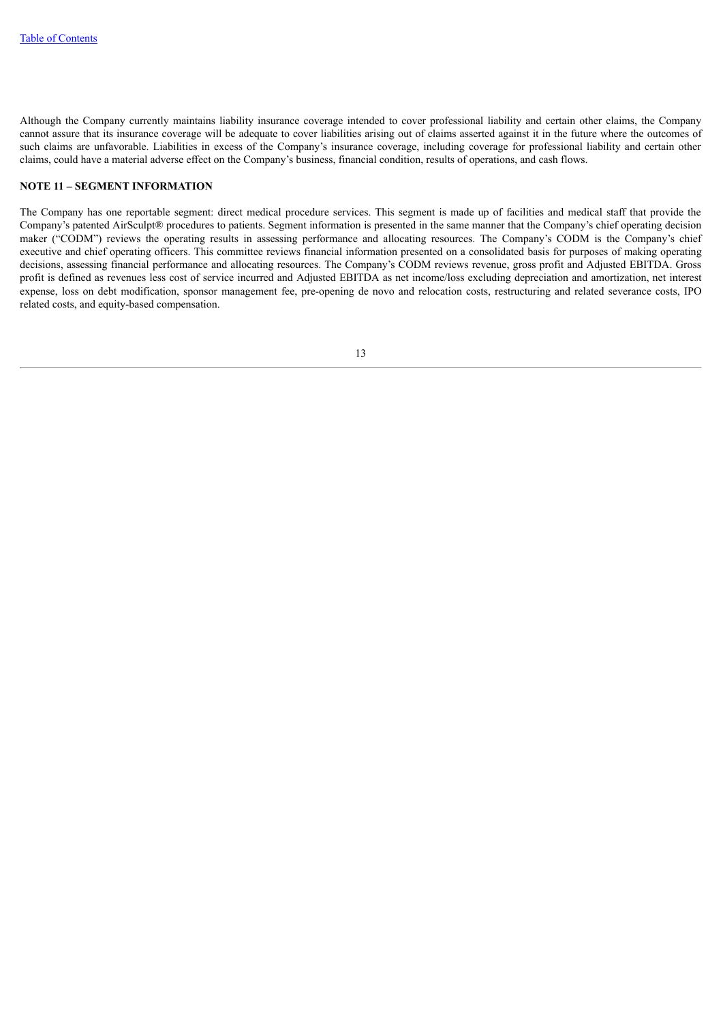Although the Company currently maintains liability insurance coverage intended to cover professional liability and certain other claims, the Company cannot assure that its insurance coverage will be adequate to cover liabilities arising out of claims asserted against it in the future where the outcomes of such claims are unfavorable. Liabilities in excess of the Company's insurance coverage, including coverage for professional liability and certain other claims, could have a material adverse effect on the Company's business, financial condition, results of operations, and cash flows.

### **NOTE 11 – SEGMENT INFORMATION**

<span id="page-14-0"></span>The Company has one reportable segment: direct medical procedure services. This segment is made up of facilities and medical staff that provide the Company's patented AirSculpt® procedures to patients. Segment information is presented in the same manner that the Company's chief operating decision maker ("CODM") reviews the operating results in assessing performance and allocating resources. The Company's CODM is the Company's chief executive and chief operating officers. This committee reviews financial information presented on a consolidated basis for purposes of making operating decisions, assessing financial performance and allocating resources. The Company's CODM reviews revenue, gross profit and Adjusted EBITDA. Gross profit is defined as revenues less cost of service incurred and Adjusted EBITDA as net income/loss excluding depreciation and amortization, net interest expense, loss on debt modification, sponsor management fee, pre-opening de novo and relocation costs, restructuring and related severance costs, IPO related costs, and equity-based compensation.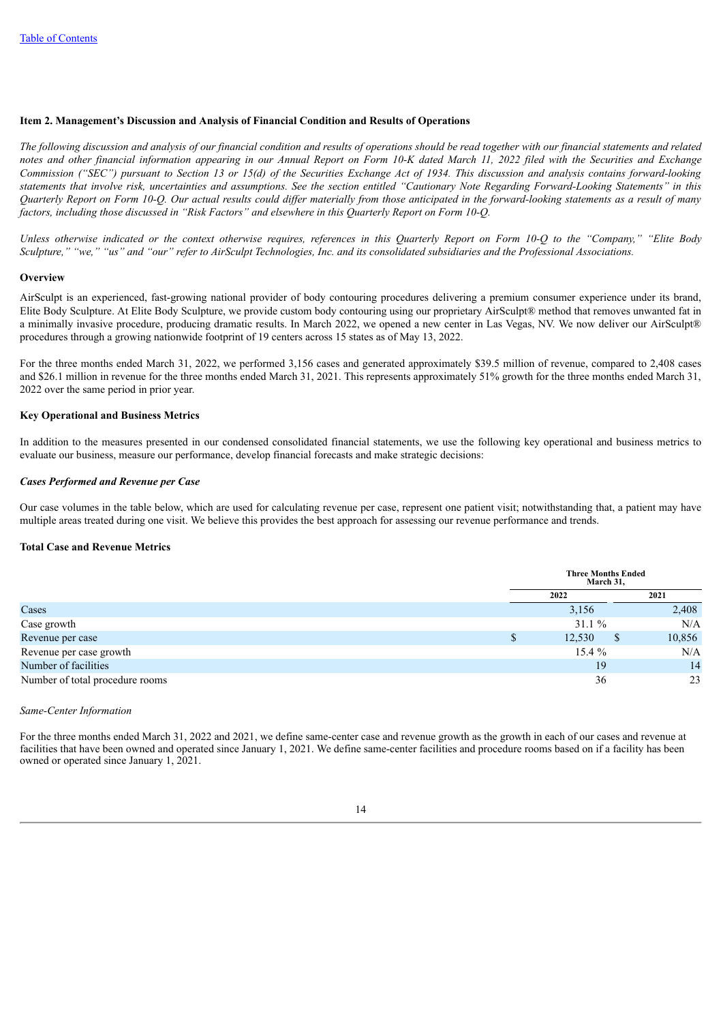### **Item 2. Management's Discussion and Analysis of Financial Condition and Results of Operations**

The following discussion and analysis of our financial condition and results of operations should be read together with our financial statements and related notes and other financial information appearing in our Annual Report on Form 10-K dated March 11, 2022 filed with the Securities and Exchange Commission ("SEC") pursuant to Section 13 or 15(d) of the Securities Exchange Act of 1934. This discussion and analysis contains forward-looking statements that involve risk, uncertainties and assumptions. See the section entitled "Cautionary Note Regarding Forward-Looking Statements" in this Quarterly Report on Form 10-Q. Our actual results could differ materially from those anticipated in the forward-looking statements as a result of many *factors, including those discussed in "Risk Factors" and elsewhere in this Quarterly Report on Form 10-Q.*

Unless otherwise indicated or the context otherwise requires, references in this Quarterly Report on Form 10-Q to the "Company," "Elite Body Sculpture." "we." "us" and "our" refer to AirSculpt Technologies. Inc. and its consolidated subsidiaries and the Professional Associations.

#### **Overview**

AirSculpt is an experienced, fast-growing national provider of body contouring procedures delivering a premium consumer experience under its brand, Elite Body Sculpture. At Elite Body Sculpture, we provide custom body contouring using our proprietary AirSculpt® method that removes unwanted fat in a minimally invasive procedure, producing dramatic results. In March 2022, we opened a new center in Las Vegas, NV. We now deliver our AirSculpt® procedures through a growing nationwide footprint of 19 centers across 15 states as of May 13, 2022.

For the three months ended March 31, 2022, we performed 3,156 cases and generated approximately \$39.5 million of revenue, compared to 2,408 cases and \$26.1 million in revenue for the three months ended March 31, 2021. This represents approximately 51% growth for the three months ended March 31, 2022 over the same period in prior year.

#### **Key Operational and Business Metrics**

In addition to the measures presented in our condensed consolidated financial statements, we use the following key operational and business metrics to evaluate our business, measure our performance, develop financial forecasts and make strategic decisions:

#### *Cases Performed and Revenue per Case*

Our case volumes in the table below, which are used for calculating revenue per case, represent one patient visit; notwithstanding that, a patient may have multiple areas treated during one visit. We believe this provides the best approach for assessing our revenue performance and trends.

# **Total Case and Revenue Metrics**

|                                 | <b>Three Months Ended</b><br>March 31, |        |  |
|---------------------------------|----------------------------------------|--------|--|
|                                 | 2022                                   | 2021   |  |
| Cases                           | 3,156                                  | 2,408  |  |
| Case growth                     | 31.1%                                  | N/A    |  |
| Revenue per case                | 12,530<br>S                            | 10,856 |  |
| Revenue per case growth         | $15.4\%$                               | N/A    |  |
| Number of facilities            | 19                                     | 14     |  |
| Number of total procedure rooms | 36                                     | 23     |  |

#### *Same-Center Information*

For the three months ended March 31, 2022 and 2021, we define same-center case and revenue growth as the growth in each of our cases and revenue at facilities that have been owned and operated since January 1, 2021. We define same-center facilities and procedure rooms based on if a facility has been owned or operated since January 1, 2021.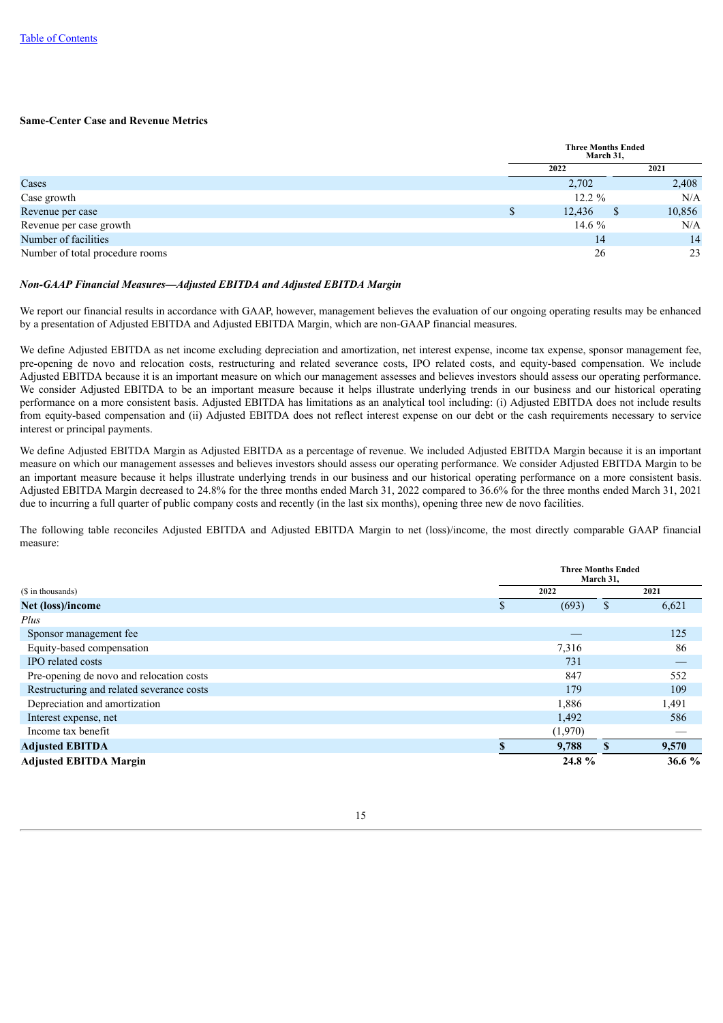### **Same-Center Case and Revenue Metrics**

|                                 |              | <b>Three Months Ended</b><br>March 31, |  |        |
|---------------------------------|--------------|----------------------------------------|--|--------|
|                                 |              | 2022                                   |  | 2021   |
| Cases                           |              | 2,702                                  |  | 2,408  |
| Case growth                     |              | $12.2 \%$                              |  | N/A    |
| Revenue per case                | $\mathbf{D}$ | 12,436                                 |  | 10,856 |
| Revenue per case growth         |              | 14.6 $%$                               |  | N/A    |
| Number of facilities            |              | 14                                     |  | 14     |
| Number of total procedure rooms |              | 26                                     |  | 23     |

#### *Non-GAAP Financial Measures—Adjusted EBITDA and Adjusted EBITDA Margin*

We report our financial results in accordance with GAAP, however, management believes the evaluation of our ongoing operating results may be enhanced by a presentation of Adjusted EBITDA and Adjusted EBITDA Margin, which are non-GAAP financial measures.

We define Adjusted EBITDA as net income excluding depreciation and amortization, net interest expense, income tax expense, sponsor management fee, pre-opening de novo and relocation costs, restructuring and related severance costs, IPO related costs, and equity-based compensation. We include Adjusted EBITDA because it is an important measure on which our management assesses and believes investors should assess our operating performance. We consider Adjusted EBITDA to be an important measure because it helps illustrate underlying trends in our business and our historical operating performance on a more consistent basis. Adjusted EBITDA has limitations as an analytical tool including: (i) Adjusted EBITDA does not include results from equity-based compensation and (ii) Adjusted EBITDA does not reflect interest expense on our debt or the cash requirements necessary to service interest or principal payments.

We define Adjusted EBITDA Margin as Adjusted EBITDA as a percentage of revenue. We included Adjusted EBITDA Margin because it is an important measure on which our management assesses and believes investors should assess our operating performance. We consider Adjusted EBITDA Margin to be an important measure because it helps illustrate underlying trends in our business and our historical operating performance on a more consistent basis. Adjusted EBITDA Margin decreased to 24.8% for the three months ended March 31, 2022 compared to 36.6% for the three months ended March 31, 2021 due to incurring a full quarter of public company costs and recently (in the last six months), opening three new de novo facilities.

The following table reconciles Adjusted EBITDA and Adjusted EBITDA Margin to net (loss)/income, the most directly comparable GAAP financial measure:

|                                           | <b>Three Months Ended</b><br>March 31, |    |          |  |
|-------------------------------------------|----------------------------------------|----|----------|--|
| (\$ in thousands)                         | 2022                                   |    | 2021     |  |
| Net (loss)/income                         | (693)                                  | \$ | 6,621    |  |
| Plus                                      |                                        |    |          |  |
| Sponsor management fee                    |                                        |    | 125      |  |
| Equity-based compensation                 | 7,316                                  |    | 86       |  |
| <b>IPO</b> related costs                  | 731                                    |    |          |  |
| Pre-opening de novo and relocation costs  | 847                                    |    | 552      |  |
| Restructuring and related severance costs | 179                                    |    | 109      |  |
| Depreciation and amortization             | 1,886                                  |    | 1,491    |  |
| Interest expense, net                     | 1,492                                  |    | 586      |  |
| Income tax benefit                        | (1,970)                                |    |          |  |
| <b>Adjusted EBITDA</b>                    | 9,788                                  | S  | 9,570    |  |
| <b>Adjusted EBITDA Margin</b>             | 24.8%                                  |    | 36.6 $%$ |  |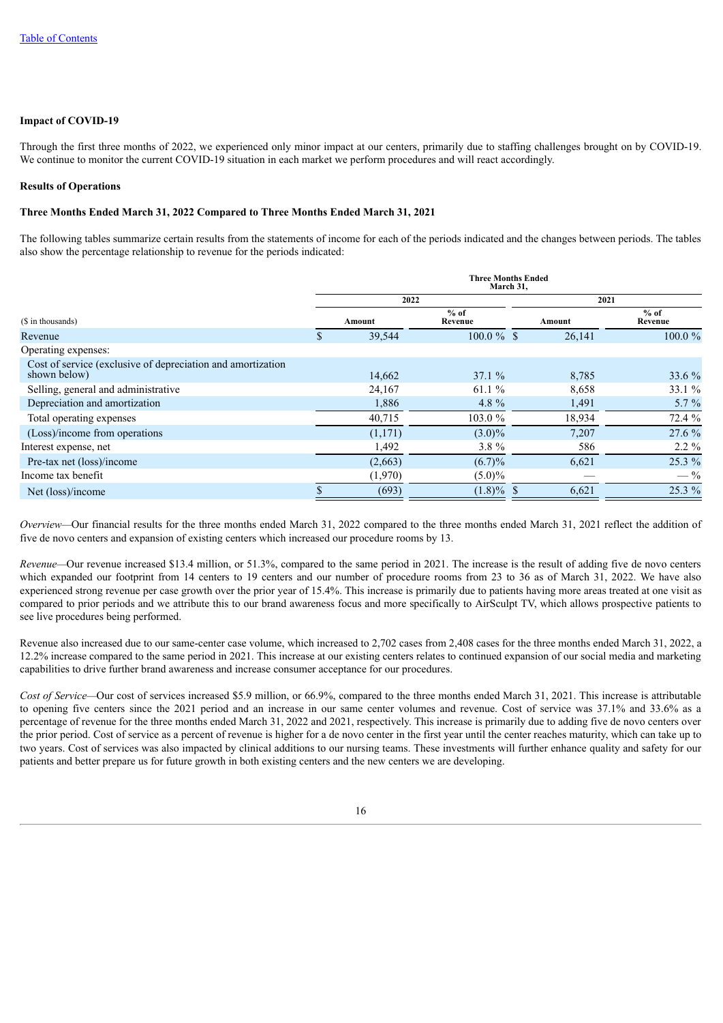#### **Impact of COVID-19**

Through the first three months of 2022, we experienced only minor impact at our centers, primarily due to staffing challenges brought on by COVID-19. We continue to monitor the current COVID-19 situation in each market we perform procedures and will react accordingly.

#### **Results of Operations**

# **Three Months Ended March 31, 2022 Compared to Three Months Ended March 31, 2021**

The following tables summarize certain results from the statements of income for each of the periods indicated and the changes between periods. The tables also show the percentage relationship to revenue for the periods indicated:

|                                                                             | <b>Three Months Ended</b><br>March 31, |         |                   |        |                   |  |  |
|-----------------------------------------------------------------------------|----------------------------------------|---------|-------------------|--------|-------------------|--|--|
|                                                                             |                                        |         | 2022              |        | 2021              |  |  |
| (\$ in thousands)                                                           |                                        | Amount  | $%$ of<br>Revenue | Amount | $%$ of<br>Revenue |  |  |
| Revenue                                                                     | S.                                     | 39,544  | $100.0\%$ \$      | 26,141 | 100.0 %           |  |  |
| Operating expenses:                                                         |                                        |         |                   |        |                   |  |  |
| Cost of service (exclusive of depreciation and amortization<br>shown below) |                                        | 14,662  | $37.1 \%$         | 8,785  | 33.6 %            |  |  |
| Selling, general and administrative                                         |                                        | 24,167  | 61.1%             | 8,658  | 33.1 %            |  |  |
| Depreciation and amortization                                               |                                        | 1,886   | 4.8 $%$           | 1,491  | 5.7 %             |  |  |
| Total operating expenses                                                    |                                        | 40,715  | 103.0 %           | 18,934 | 72.4%             |  |  |
| (Loss)/income from operations                                               |                                        | (1,171) | $(3.0)\%$         | 7,207  | 27.6 %            |  |  |
| Interest expense, net                                                       |                                        | 1,492   | $3.8\%$           | 586    | $2.2 \%$          |  |  |
| Pre-tax net (loss)/income                                                   |                                        | (2,663) | $(6.7)\%$         | 6,621  | 25.3 %            |  |  |
| Income tax benefit                                                          |                                        | (1,970) | $(5.0)\%$         |        | $-$ %             |  |  |
| Net (loss)/income                                                           |                                        | (693)   | $(1.8)\%$ \$      | 6,621  | 25.3 %            |  |  |

*Overview—*Our financial results for the three months ended March 31, 2022 compared to the three months ended March 31, 2021 reflect the addition of five de novo centers and expansion of existing centers which increased our procedure rooms by 13.

*Revenue—*Our revenue increased \$13.4 million, or 51.3%, compared to the same period in 2021. The increase is the result of adding five de novo centers which expanded our footprint from 14 centers to 19 centers and our number of procedure rooms from 23 to 36 as of March 31, 2022. We have also experienced strong revenue per case growth over the prior year of 15.4%. This increase is primarily due to patients having more areas treated at one visit as compared to prior periods and we attribute this to our brand awareness focus and more specifically to AirSculpt TV, which allows prospective patients to see live procedures being performed.

Revenue also increased due to our same-center case volume, which increased to 2,702 cases from 2,408 cases for the three months ended March 31, 2022, a 12.2% increase compared to the same period in 2021. This increase at our existing centers relates to continued expansion of our social media and marketing capabilities to drive further brand awareness and increase consumer acceptance for our procedures.

*Cost of Service—*Our cost of services increased \$5.9 million, or 66.9%, compared to the three months ended March 31, 2021. This increase is attributable to opening five centers since the 2021 period and an increase in our same center volumes and revenue. Cost of service was 37.1% and 33.6% as a percentage of revenue for the three months ended March 31, 2022 and 2021, respectively. This increase is primarily due to adding five de novo centers over the prior period. Cost of service as a percent of revenue is higher for a de novo center in the first year until the center reaches maturity, which can take up to two years. Cost of services was also impacted by clinical additions to our nursing teams. These investments will further enhance quality and safety for our patients and better prepare us for future growth in both existing centers and the new centers we are developing.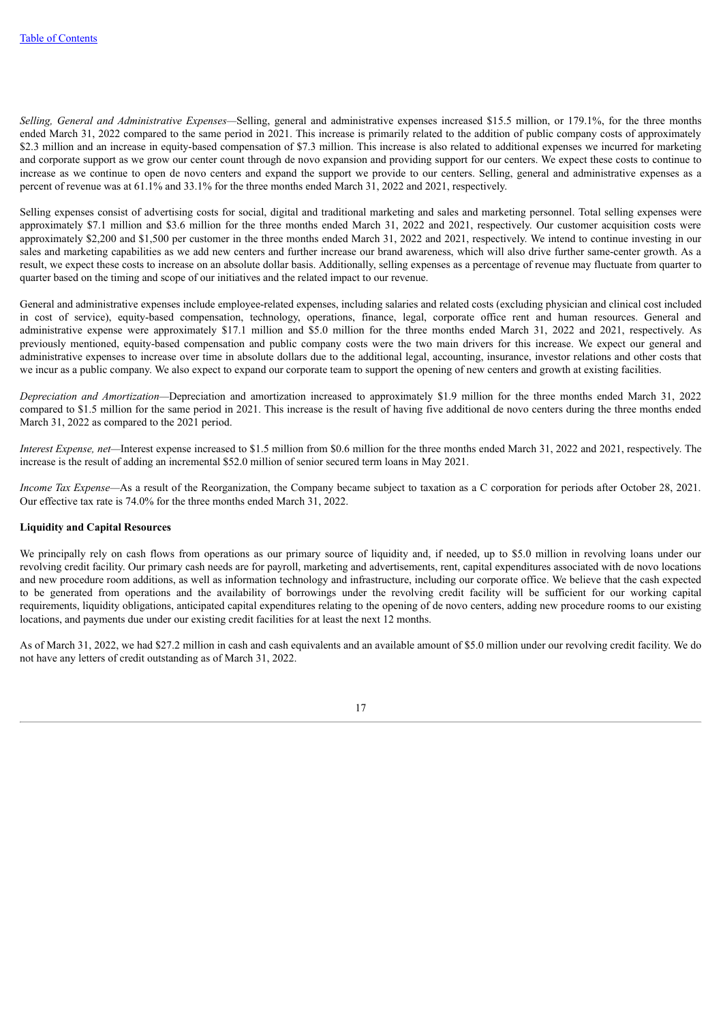*Selling, General and Administrative Expenses—*Selling, general and administrative expenses increased \$15.5 million, or 179.1%, for the three months ended March 31, 2022 compared to the same period in 2021. This increase is primarily related to the addition of public company costs of approximately \$2.3 million and an increase in equity-based compensation of \$7.3 million. This increase is also related to additional expenses we incurred for marketing and corporate support as we grow our center count through de novo expansion and providing support for our centers. We expect these costs to continue to increase as we continue to open de novo centers and expand the support we provide to our centers. Selling, general and administrative expenses as a percent of revenue was at 61.1% and 33.1% for the three months ended March 31, 2022 and 2021, respectively.

Selling expenses consist of advertising costs for social, digital and traditional marketing and sales and marketing personnel. Total selling expenses were approximately \$7.1 million and \$3.6 million for the three months ended March 31, 2022 and 2021, respectively. Our customer acquisition costs were approximately \$2,200 and \$1,500 per customer in the three months ended March 31, 2022 and 2021, respectively. We intend to continue investing in our sales and marketing capabilities as we add new centers and further increase our brand awareness, which will also drive further same-center growth. As a result, we expect these costs to increase on an absolute dollar basis. Additionally, selling expenses as a percentage of revenue may fluctuate from quarter to quarter based on the timing and scope of our initiatives and the related impact to our revenue.

General and administrative expenses include employee-related expenses, including salaries and related costs (excluding physician and clinical cost included in cost of service), equity-based compensation, technology, operations, finance, legal, corporate office rent and human resources. General and administrative expense were approximately \$17.1 million and \$5.0 million for the three months ended March 31, 2022 and 2021, respectively. As previously mentioned, equity-based compensation and public company costs were the two main drivers for this increase. We expect our general and administrative expenses to increase over time in absolute dollars due to the additional legal, accounting, insurance, investor relations and other costs that we incur as a public company. We also expect to expand our corporate team to support the opening of new centers and growth at existing facilities.

*Depreciation and Amortization—*Depreciation and amortization increased to approximately \$1.9 million for the three months ended March 31, 2022 compared to \$1.5 million for the same period in 2021. This increase is the result of having five additional de novo centers during the three months ended March 31, 2022 as compared to the 2021 period.

*Interest Expense, net—*Interest expense increased to \$1.5 million from \$0.6 million for the three months ended March 31, 2022 and 2021, respectively. The increase is the result of adding an incremental \$52.0 million of senior secured term loans in May 2021.

*Income Tax Expense—As a result of the Reorganization, the Company became subject to taxation as a C corporation for periods after October 28, 2021.* Our effective tax rate is 74.0% for the three months ended March 31, 2022.

#### **Liquidity and Capital Resources**

We principally rely on cash flows from operations as our primary source of liquidity and, if needed, up to \$5.0 million in revolving loans under our revolving credit facility. Our primary cash needs are for payroll, marketing and advertisements, rent, capital expenditures associated with de novo locations and new procedure room additions, as well as information technology and infrastructure, including our corporate office. We believe that the cash expected to be generated from operations and the availability of borrowings under the revolving credit facility will be sufficient for our working capital requirements, liquidity obligations, anticipated capital expenditures relating to the opening of de novo centers, adding new procedure rooms to our existing locations, and payments due under our existing credit facilities for at least the next 12 months.

As of March 31, 2022, we had \$27.2 million in cash and cash equivalents and an available amount of \$5.0 million under our revolving credit facility. We do not have any letters of credit outstanding as of March 31, 2022.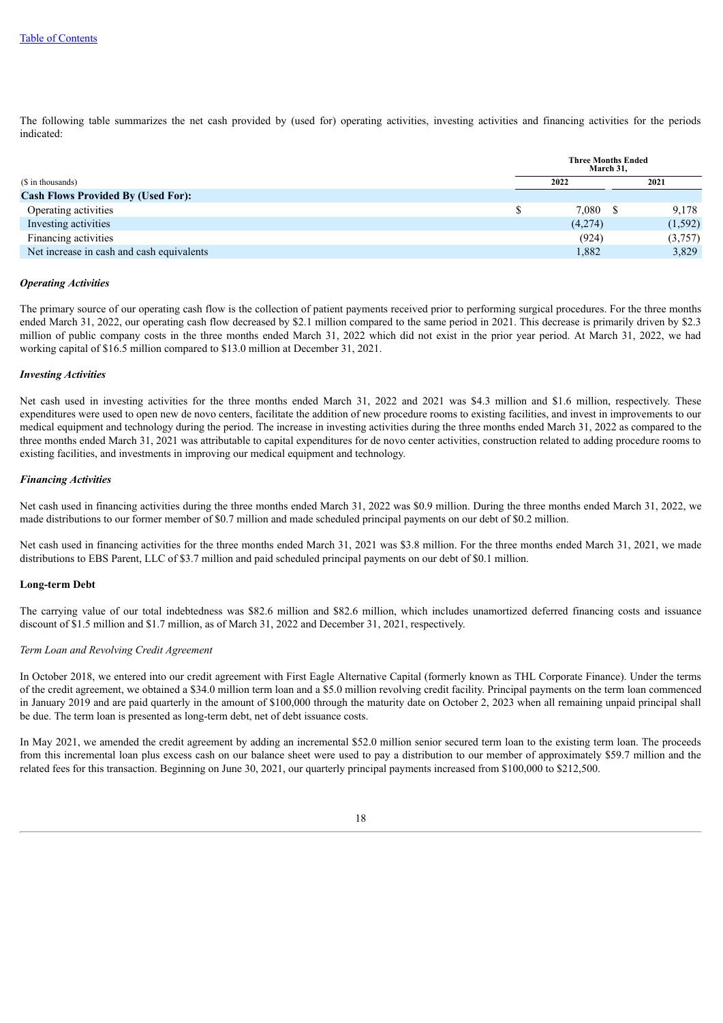The following table summarizes the net cash provided by (used for) operating activities, investing activities and financing activities for the periods indicated:

|                                           | <b>Three Months Ended</b><br>March 31, |  |          |  |
|-------------------------------------------|----------------------------------------|--|----------|--|
| (\$ in thousands)                         | 2021<br>2022                           |  |          |  |
| <b>Cash Flows Provided By (Used For):</b> |                                        |  |          |  |
| Operating activities                      | 7,080                                  |  | 9,178    |  |
| Investing activities                      | (4,274)                                |  | (1, 592) |  |
| Financing activities                      | (924)                                  |  | (3,757)  |  |
| Net increase in cash and cash equivalents | 1,882                                  |  | 3,829    |  |

#### *Operating Activities*

The primary source of our operating cash flow is the collection of patient payments received prior to performing surgical procedures. For the three months ended March 31, 2022, our operating cash flow decreased by \$2.1 million compared to the same period in 2021. This decrease is primarily driven by \$2.3 million of public company costs in the three months ended March 31, 2022 which did not exist in the prior year period. At March 31, 2022, we had working capital of \$16.5 million compared to \$13.0 million at December 31, 2021.

#### *Investing Activities*

Net cash used in investing activities for the three months ended March 31, 2022 and 2021 was \$4.3 million and \$1.6 million, respectively. These expenditures were used to open new de novo centers, facilitate the addition of new procedure rooms to existing facilities, and invest in improvements to our medical equipment and technology during the period. The increase in investing activities during the three months ended March 31, 2022 as compared to the three months ended March 31, 2021 was attributable to capital expenditures for de novo center activities, construction related to adding procedure rooms to existing facilities, and investments in improving our medical equipment and technology.

#### *Financing Activities*

Net cash used in financing activities during the three months ended March 31, 2022 was \$0.9 million. During the three months ended March 31, 2022, we made distributions to our former member of \$0.7 million and made scheduled principal payments on our debt of \$0.2 million.

Net cash used in financing activities for the three months ended March 31, 2021 was \$3.8 million. For the three months ended March 31, 2021, we made distributions to EBS Parent, LLC of \$3.7 million and paid scheduled principal payments on our debt of \$0.1 million.

#### **Long-term Debt**

The carrying value of our total indebtedness was \$82.6 million and \$82.6 million, which includes unamortized deferred financing costs and issuance discount of \$1.5 million and \$1.7 million, as of March 31, 2022 and December 31, 2021, respectively.

#### *Term Loan and Revolving Credit Agreement*

In October 2018, we entered into our credit agreement with First Eagle Alternative Capital (formerly known as THL Corporate Finance). Under the terms of the credit agreement, we obtained a \$34.0 million term loan and a \$5.0 million revolving credit facility. Principal payments on the term loan commenced in January 2019 and are paid quarterly in the amount of \$100,000 through the maturity date on October 2, 2023 when all remaining unpaid principal shall be due. The term loan is presented as long-term debt, net of debt issuance costs.

In May 2021, we amended the credit agreement by adding an incremental \$52.0 million senior secured term loan to the existing term loan. The proceeds from this incremental loan plus excess cash on our balance sheet were used to pay a distribution to our member of approximately \$59.7 million and the related fees for this transaction. Beginning on June 30, 2021, our quarterly principal payments increased from \$100,000 to \$212,500.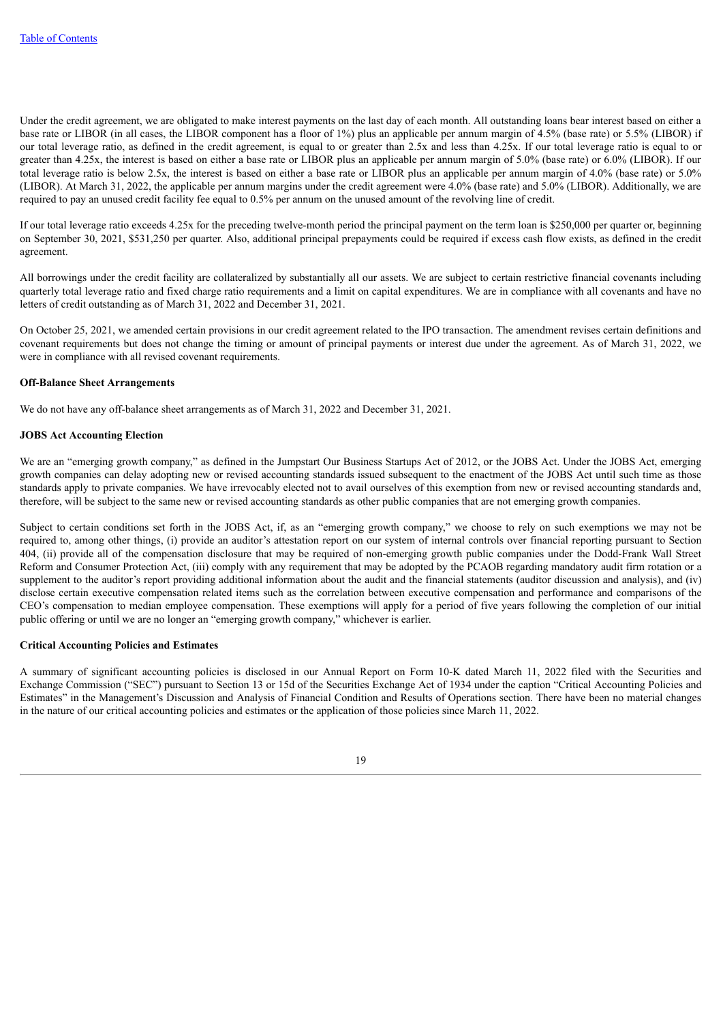Under the credit agreement, we are obligated to make interest payments on the last day of each month. All outstanding loans bear interest based on either a base rate or LIBOR (in all cases, the LIBOR component has a floor of 1%) plus an applicable per annum margin of 4.5% (base rate) or 5.5% (LIBOR) if our total leverage ratio, as defined in the credit agreement, is equal to or greater than 2.5x and less than 4.25x. If our total leverage ratio is equal to or greater than 4.25x, the interest is based on either a base rate or LIBOR plus an applicable per annum margin of 5.0% (base rate) or 6.0% (LIBOR). If our total leverage ratio is below 2.5x, the interest is based on either a base rate or LIBOR plus an applicable per annum margin of 4.0% (base rate) or 5.0% (LIBOR). At March 31, 2022, the applicable per annum margins under the credit agreement were 4.0% (base rate) and 5.0% (LIBOR). Additionally, we are required to pay an unused credit facility fee equal to 0.5% per annum on the unused amount of the revolving line of credit.

If our total leverage ratio exceeds 4.25x for the preceding twelve-month period the principal payment on the term loan is \$250,000 per quarter or, beginning on September 30, 2021, \$531,250 per quarter. Also, additional principal prepayments could be required if excess cash flow exists, as defined in the credit agreement.

All borrowings under the credit facility are collateralized by substantially all our assets. We are subject to certain restrictive financial covenants including quarterly total leverage ratio and fixed charge ratio requirements and a limit on capital expenditures. We are in compliance with all covenants and have no letters of credit outstanding as of March 31, 2022 and December 31, 2021.

On October 25, 2021, we amended certain provisions in our credit agreement related to the IPO transaction. The amendment revises certain definitions and covenant requirements but does not change the timing or amount of principal payments or interest due under the agreement. As of March 31, 2022, we were in compliance with all revised covenant requirements.

### **Off-Balance Sheet Arrangements**

We do not have any off-balance sheet arrangements as of March 31, 2022 and December 31, 2021.

### **JOBS Act Accounting Election**

We are an "emerging growth company," as defined in the Jumpstart Our Business Startups Act of 2012, or the JOBS Act. Under the JOBS Act, emerging growth companies can delay adopting new or revised accounting standards issued subsequent to the enactment of the JOBS Act until such time as those standards apply to private companies. We have irrevocably elected not to avail ourselves of this exemption from new or revised accounting standards and, therefore, will be subject to the same new or revised accounting standards as other public companies that are not emerging growth companies.

Subject to certain conditions set forth in the JOBS Act, if, as an "emerging growth company," we choose to rely on such exemptions we may not be required to, among other things, (i) provide an auditor's attestation report on our system of internal controls over financial reporting pursuant to Section 404, (ii) provide all of the compensation disclosure that may be required of non-emerging growth public companies under the Dodd-Frank Wall Street Reform and Consumer Protection Act, (iii) comply with any requirement that may be adopted by the PCAOB regarding mandatory audit firm rotation or a supplement to the auditor's report providing additional information about the audit and the financial statements (auditor discussion and analysis), and (iv) disclose certain executive compensation related items such as the correlation between executive compensation and performance and comparisons of the CEO's compensation to median employee compensation. These exemptions will apply for a period of five years following the completion of our initial public offering or until we are no longer an "emerging growth company," whichever is earlier.

# **Critical Accounting Policies and Estimates**

<span id="page-20-0"></span>A summary of significant accounting policies is disclosed in our Annual Report on Form 10-K dated March 11, 2022 filed with the Securities and Exchange Commission ("SEC") pursuant to Section 13 or 15d of the Securities Exchange Act of 1934 under the caption "Critical Accounting Policies and Estimates" in the Management's Discussion and Analysis of Financial Condition and Results of Operations section. There have been no material changes in the nature of our critical accounting policies and estimates or the application of those policies since March 11, 2022.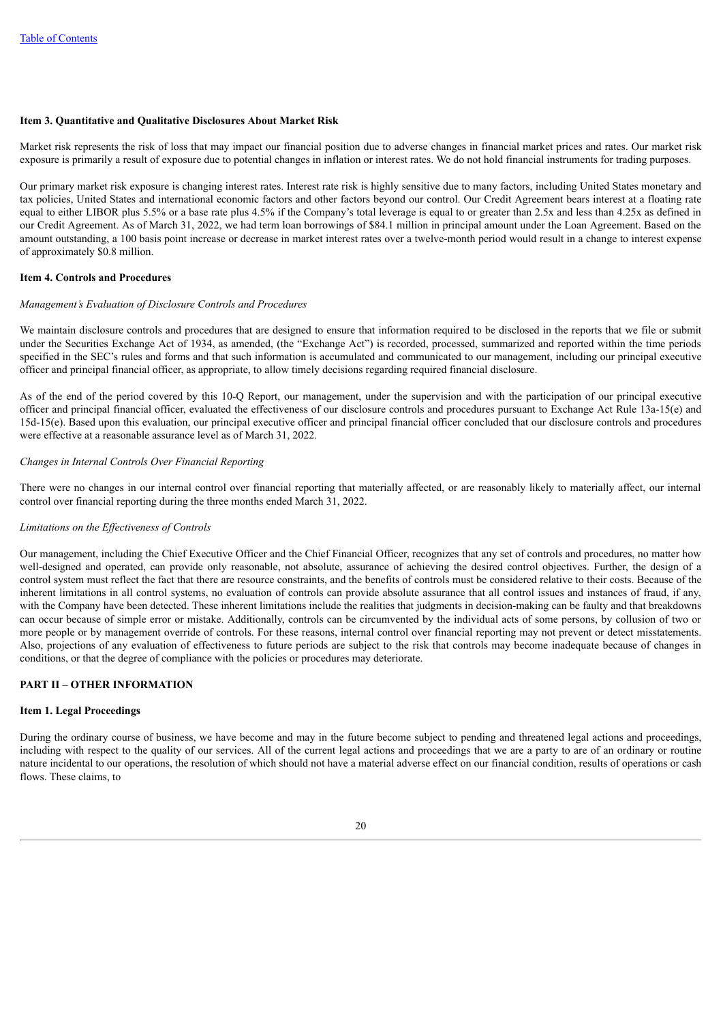#### **Item 3. Quantitative and Qualitative Disclosures About Market Risk**

Market risk represents the risk of loss that may impact our financial position due to adverse changes in financial market prices and rates. Our market risk exposure is primarily a result of exposure due to potential changes in inflation or interest rates. We do not hold financial instruments for trading purposes.

Our primary market risk exposure is changing interest rates. Interest rate risk is highly sensitive due to many factors, including United States monetary and tax policies, United States and international economic factors and other factors beyond our control. Our Credit Agreement bears interest at a floating rate equal to either LIBOR plus 5.5% or a base rate plus 4.5% if the Company's total leverage is equal to or greater than 2.5x and less than 4.25x as defined in our Credit Agreement. As of March 31, 2022, we had term loan borrowings of \$84.1 million in principal amount under the Loan Agreement. Based on the amount outstanding, a 100 basis point increase or decrease in market interest rates over a twelve-month period would result in a change to interest expense of approximately \$0.8 million.

#### <span id="page-21-0"></span>**Item 4. Controls and Procedures**

#### *Management's Evaluation of Disclosure Controls and Procedures*

We maintain disclosure controls and procedures that are designed to ensure that information required to be disclosed in the reports that we file or submit under the Securities Exchange Act of 1934, as amended, (the "Exchange Act") is recorded, processed, summarized and reported within the time periods specified in the SEC's rules and forms and that such information is accumulated and communicated to our management, including our principal executive officer and principal financial officer, as appropriate, to allow timely decisions regarding required financial disclosure.

As of the end of the period covered by this 10-Q Report, our management, under the supervision and with the participation of our principal executive officer and principal financial officer, evaluated the effectiveness of our disclosure controls and procedures pursuant to Exchange Act Rule 13a-15(e) and 15d-15(e). Based upon this evaluation, our principal executive officer and principal financial officer concluded that our disclosure controls and procedures were effective at a reasonable assurance level as of March 31, 2022.

#### *Changes in Internal Controls Over Financial Reporting*

There were no changes in our internal control over financial reporting that materially affected, or are reasonably likely to materially affect, our internal control over financial reporting during the three months ended March 31, 2022.

### *Limitations on the Ef ectiveness of Controls*

Our management, including the Chief Executive Officer and the Chief Financial Officer, recognizes that any set of controls and procedures, no matter how well-designed and operated, can provide only reasonable, not absolute, assurance of achieving the desired control objectives. Further, the design of a control system must reflect the fact that there are resource constraints, and the benefits of controls must be considered relative to their costs. Because of the inherent limitations in all control systems, no evaluation of controls can provide absolute assurance that all control issues and instances of fraud, if any, with the Company have been detected. These inherent limitations include the realities that judgments in decision-making can be faulty and that breakdowns can occur because of simple error or mistake. Additionally, controls can be circumvented by the individual acts of some persons, by collusion of two or more people or by management override of controls. For these reasons, internal control over financial reporting may not prevent or detect misstatements. Also, projections of any evaluation of effectiveness to future periods are subject to the risk that controls may become inadequate because of changes in conditions, or that the degree of compliance with the policies or procedures may deteriorate.

### <span id="page-21-2"></span><span id="page-21-1"></span>**PART II – OTHER INFORMATION**

#### **Item 1. Legal Proceedings**

During the ordinary course of business, we have become and may in the future become subject to pending and threatened legal actions and proceedings, including with respect to the quality of our services. All of the current legal actions and proceedings that we are a party to are of an ordinary or routine nature incidental to our operations, the resolution of which should not have a material adverse effect on our financial condition, results of operations or cash flows. These claims, to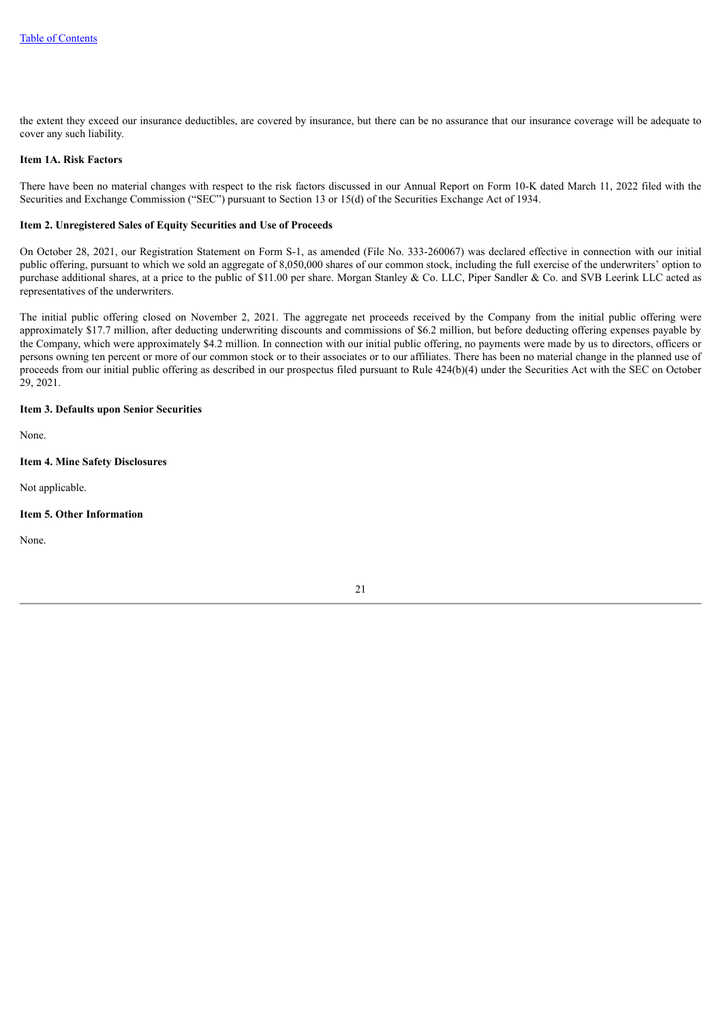the extent they exceed our insurance deductibles, are covered by insurance, but there can be no assurance that our insurance coverage will be adequate to cover any such liability.

### <span id="page-22-0"></span>**Item 1A. Risk Factors**

There have been no material changes with respect to the risk factors discussed in our Annual Report on Form 10-K dated March 11, 2022 filed with the Securities and Exchange Commission ("SEC") pursuant to Section 13 or 15(d) of the Securities Exchange Act of 1934.

### <span id="page-22-1"></span>**Item 2. Unregistered Sales of Equity Securities and Use of Proceeds**

On October 28, 2021, our Registration Statement on Form S-1, as amended (File No. 333-260067) was declared effective in connection with our initial public offering, pursuant to which we sold an aggregate of 8,050,000 shares of our common stock, including the full exercise of the underwriters' option to purchase additional shares, at a price to the public of \$11.00 per share. Morgan Stanley & Co. LLC, Piper Sandler & Co. and SVB Leerink LLC acted as representatives of the underwriters.

The initial public offering closed on November 2, 2021. The aggregate net proceeds received by the Company from the initial public offering were approximately \$17.7 million, after deducting underwriting discounts and commissions of \$6.2 million, but before deducting offering expenses payable by the Company, which were approximately \$4.2 million. In connection with our initial public offering, no payments were made by us to directors, officers or persons owning ten percent or more of our common stock or to their associates or to our affiliates. There has been no material change in the planned use of proceeds from our initial public offering as described in our prospectus filed pursuant to Rule 424(b)(4) under the Securities Act with the SEC on October 29, 2021.

# <span id="page-22-2"></span>**Item 3. Defaults upon Senior Securities**

<span id="page-22-3"></span>None.

# **Item 4. Mine Safety Disclosures**

<span id="page-22-4"></span>Not applicable.

### **Item 5. Other Information**

<span id="page-22-5"></span>None.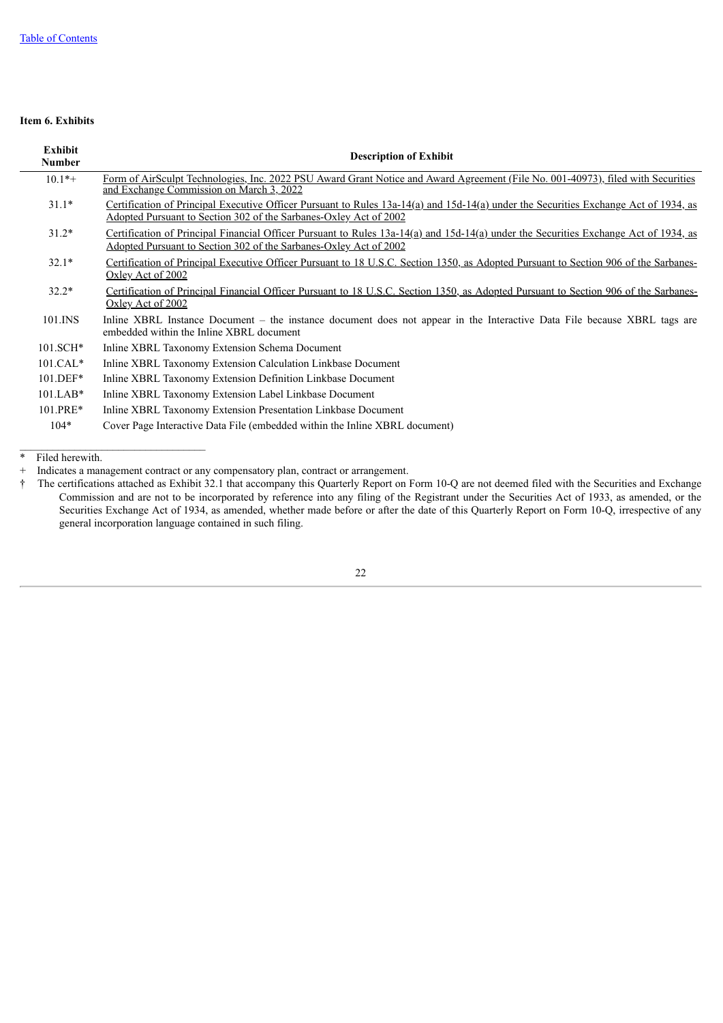# **Item 6. Exhibits**

| Exhibit<br>Number | <b>Description of Exhibit</b>                                                                                                                                                                             |
|-------------------|-----------------------------------------------------------------------------------------------------------------------------------------------------------------------------------------------------------|
| $10.1*+$          | Form of AirSculpt Technologies, Inc. 2022 PSU Award Grant Notice and Award Agreement (File No. 001-40973), filed with Securities<br>and Exchange Commission on March 3, 2022                              |
| $31.1*$           | Certification of Principal Executive Officer Pursuant to Rules 13a-14(a) and 15d-14(a) under the Securities Exchange Act of 1934, as<br>Adopted Pursuant to Section 302 of the Sarbanes-Oxley Act of 2002 |
| $31.2*$           | Certification of Principal Financial Officer Pursuant to Rules 13a-14(a) and 15d-14(a) under the Securities Exchange Act of 1934, as<br>Adopted Pursuant to Section 302 of the Sarbanes-Oxley Act of 2002 |
| $32.1*$           | Certification of Principal Executive Officer Pursuant to 18 U.S.C. Section 1350, as Adopted Pursuant to Section 906 of the Sarbanes-<br>Oxley Act of 2002                                                 |
| $32.2*$           | Certification of Principal Financial Officer Pursuant to 18 U.S.C. Section 1350, as Adopted Pursuant to Section 906 of the Sarbanes-<br>Oxley Act of 2002                                                 |
| 101.INS           | Inline XBRL Instance Document – the instance document does not appear in the Interactive Data File because XBRL tags are<br>embedded within the Inline XBRL document                                      |
| $101.SCH*$        | Inline XBRL Taxonomy Extension Schema Document                                                                                                                                                            |
| $101.CAL*$        | Inline XBRL Taxonomy Extension Calculation Linkbase Document                                                                                                                                              |
| 101.DEF*          | Inline XBRL Taxonomy Extension Definition Linkbase Document                                                                                                                                               |
| $101.LAB*$        | Inline XBRL Taxonomy Extension Label Linkbase Document                                                                                                                                                    |
| 101.PRE*          | Inline XBRL Taxonomy Extension Presentation Linkbase Document                                                                                                                                             |
| $104*$            | Cover Page Interactive Data File (embedded within the Inline XBRL document)                                                                                                                               |

\* Filed herewith.

<sup>+</sup> Indicates a management contract or any compensatory plan, contract or arrangement.

<span id="page-23-0"></span><sup>†</sup> The certifications attached as Exhibit 32.1 that accompany this Quarterly Report on Form 10-Q are not deemed filed with the Securities and Exchange Commission and are not to be incorporated by reference into any filing of the Registrant under the Securities Act of 1933, as amended, or the Securities Exchange Act of 1934, as amended, whether made before or after the date of this Quarterly Report on Form 10-Q, irrespective of any general incorporation language contained in such filing.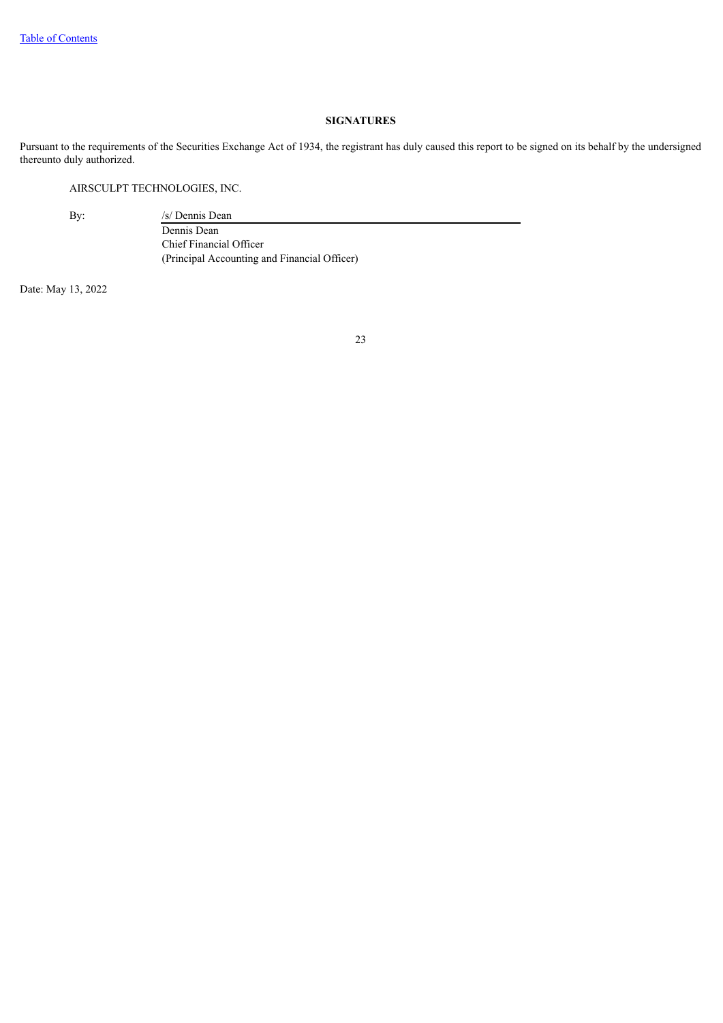# **SIGNATURES**

Pursuant to the requirements of the Securities Exchange Act of 1934, the registrant has duly caused this report to be signed on its behalf by the undersigned thereunto duly authorized.

AIRSCULPT TECHNOLOGIES, INC.

By: /s/ Dennis Dean Dennis Dean Chief Financial Officer (Principal Accounting and Financial Officer)

Date: May 13, 2022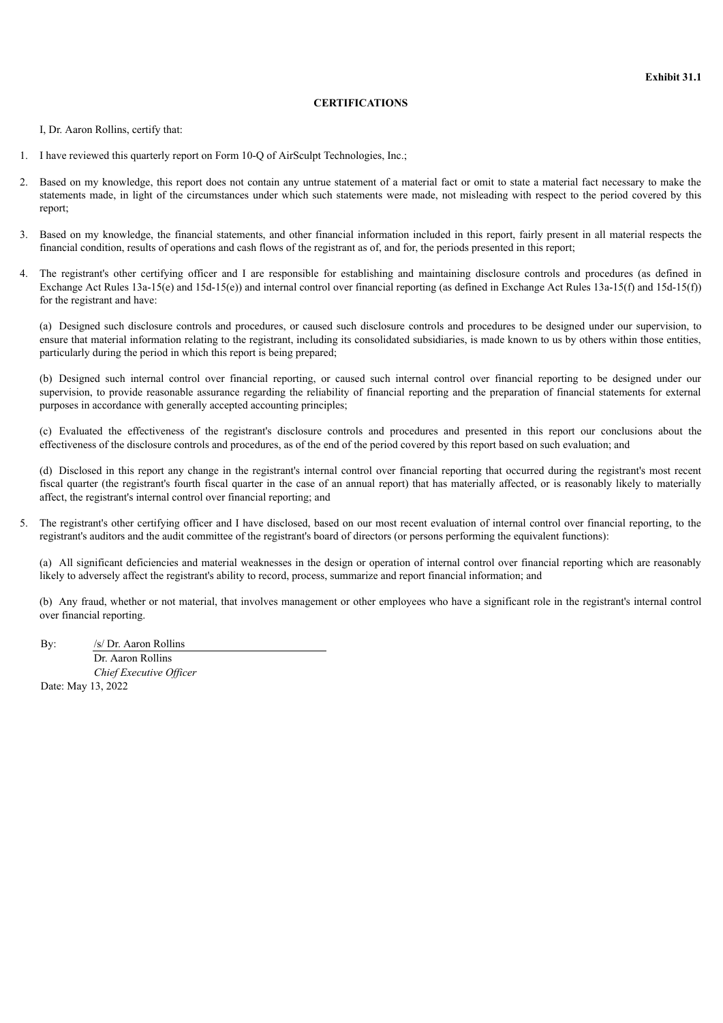# **CERTIFICATIONS**

<span id="page-25-0"></span>I, Dr. Aaron Rollins, certify that:

- 1. I have reviewed this quarterly report on Form 10-Q of AirSculpt Technologies, Inc.;
- 2. Based on my knowledge, this report does not contain any untrue statement of a material fact or omit to state a material fact necessary to make the statements made, in light of the circumstances under which such statements were made, not misleading with respect to the period covered by this report;
- 3. Based on my knowledge, the financial statements, and other financial information included in this report, fairly present in all material respects the financial condition, results of operations and cash flows of the registrant as of, and for, the periods presented in this report;
- 4. The registrant's other certifying officer and I are responsible for establishing and maintaining disclosure controls and procedures (as defined in Exchange Act Rules 13a-15(e) and 15d-15(e)) and internal control over financial reporting (as defined in Exchange Act Rules 13a-15(f) and 15d-15(f)) for the registrant and have:

(a) Designed such disclosure controls and procedures, or caused such disclosure controls and procedures to be designed under our supervision, to ensure that material information relating to the registrant, including its consolidated subsidiaries, is made known to us by others within those entities, particularly during the period in which this report is being prepared;

(b) Designed such internal control over financial reporting, or caused such internal control over financial reporting to be designed under our supervision, to provide reasonable assurance regarding the reliability of financial reporting and the preparation of financial statements for external purposes in accordance with generally accepted accounting principles;

(c) Evaluated the effectiveness of the registrant's disclosure controls and procedures and presented in this report our conclusions about the effectiveness of the disclosure controls and procedures, as of the end of the period covered by this report based on such evaluation; and

(d) Disclosed in this report any change in the registrant's internal control over financial reporting that occurred during the registrant's most recent fiscal quarter (the registrant's fourth fiscal quarter in the case of an annual report) that has materially affected, or is reasonably likely to materially affect, the registrant's internal control over financial reporting; and

5. The registrant's other certifying officer and I have disclosed, based on our most recent evaluation of internal control over financial reporting, to the registrant's auditors and the audit committee of the registrant's board of directors (or persons performing the equivalent functions):

(a) All significant deficiencies and material weaknesses in the design or operation of internal control over financial reporting which are reasonably likely to adversely affect the registrant's ability to record, process, summarize and report financial information; and

(b) Any fraud, whether or not material, that involves management or other employees who have a significant role in the registrant's internal control over financial reporting.

By: /s/ Dr. Aaron Rollins

Dr. Aaron Rollins *Chief Executive Of icer* Date: May 13, 2022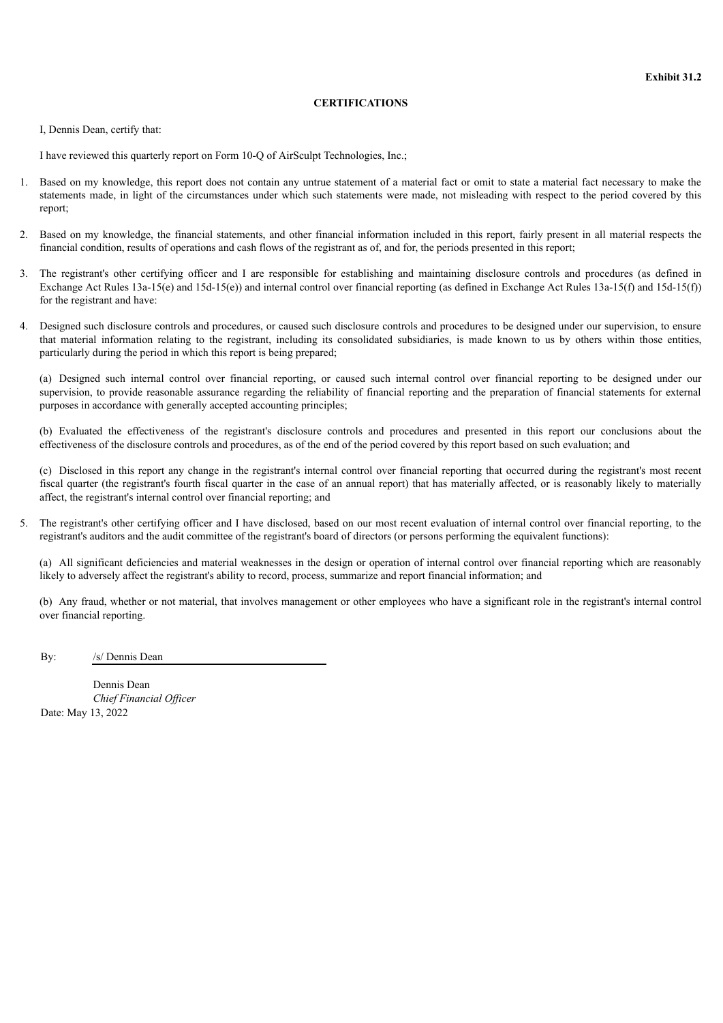# **CERTIFICATIONS**

<span id="page-26-0"></span>I, Dennis Dean, certify that:

I have reviewed this quarterly report on Form 10-Q of AirSculpt Technologies, Inc.;

- 1. Based on my knowledge, this report does not contain any untrue statement of a material fact or omit to state a material fact necessary to make the statements made, in light of the circumstances under which such statements were made, not misleading with respect to the period covered by this report;
- 2. Based on my knowledge, the financial statements, and other financial information included in this report, fairly present in all material respects the financial condition, results of operations and cash flows of the registrant as of, and for, the periods presented in this report;
- 3. The registrant's other certifying officer and I are responsible for establishing and maintaining disclosure controls and procedures (as defined in Exchange Act Rules 13a-15(e) and 15d-15(e)) and internal control over financial reporting (as defined in Exchange Act Rules 13a-15(f) and 15d-15(f)) for the registrant and have:
- 4. Designed such disclosure controls and procedures, or caused such disclosure controls and procedures to be designed under our supervision, to ensure that material information relating to the registrant, including its consolidated subsidiaries, is made known to us by others within those entities, particularly during the period in which this report is being prepared;

(a) Designed such internal control over financial reporting, or caused such internal control over financial reporting to be designed under our supervision, to provide reasonable assurance regarding the reliability of financial reporting and the preparation of financial statements for external purposes in accordance with generally accepted accounting principles;

(b) Evaluated the effectiveness of the registrant's disclosure controls and procedures and presented in this report our conclusions about the effectiveness of the disclosure controls and procedures, as of the end of the period covered by this report based on such evaluation; and

(c) Disclosed in this report any change in the registrant's internal control over financial reporting that occurred during the registrant's most recent fiscal quarter (the registrant's fourth fiscal quarter in the case of an annual report) that has materially affected, or is reasonably likely to materially affect, the registrant's internal control over financial reporting; and

5. The registrant's other certifying officer and I have disclosed, based on our most recent evaluation of internal control over financial reporting, to the registrant's auditors and the audit committee of the registrant's board of directors (or persons performing the equivalent functions):

(a) All significant deficiencies and material weaknesses in the design or operation of internal control over financial reporting which are reasonably likely to adversely affect the registrant's ability to record, process, summarize and report financial information; and

(b) Any fraud, whether or not material, that involves management or other employees who have a significant role in the registrant's internal control over financial reporting.

By: /s/ Dennis Dean

Dennis Dean *Chief Financial Of icer* Date: May 13, 2022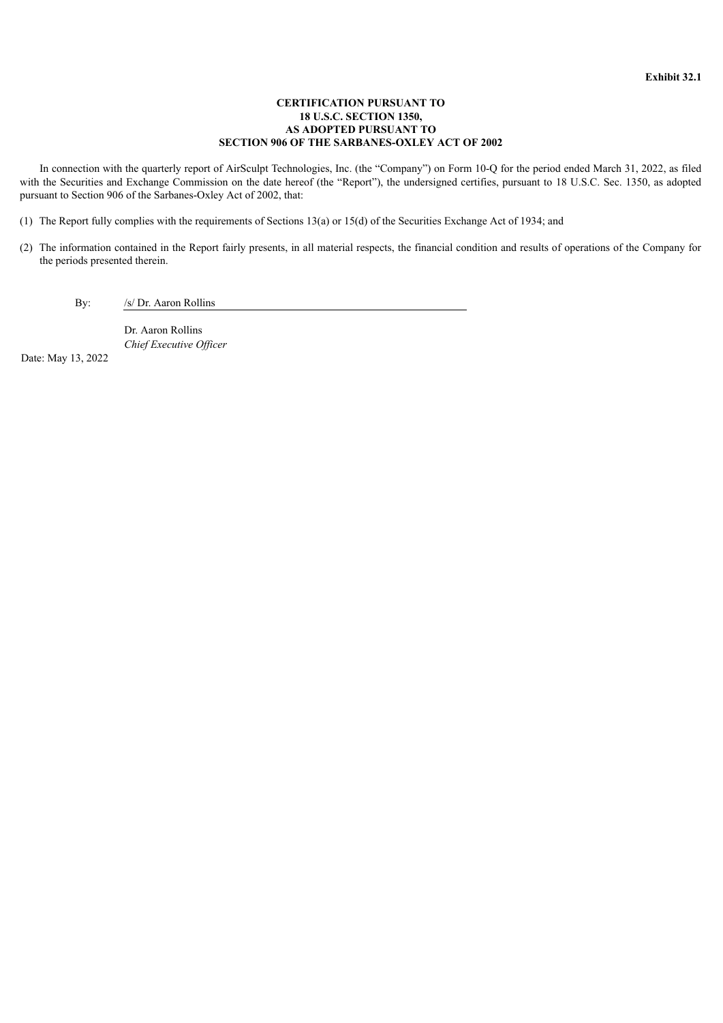# **CERTIFICATION PURSUANT TO 18 U.S.C. SECTION 1350, AS ADOPTED PURSUANT TO SECTION 906 OF THE SARBANES-OXLEY ACT OF 2002**

<span id="page-27-0"></span>In connection with the quarterly report of AirSculpt Technologies, Inc. (the "Company") on Form 10-Q for the period ended March 31, 2022, as filed with the Securities and Exchange Commission on the date hereof (the "Report"), the undersigned certifies, pursuant to 18 U.S.C. Sec. 1350, as adopted pursuant to Section 906 of the Sarbanes-Oxley Act of 2002, that:

- (1) The Report fully complies with the requirements of Sections 13(a) or 15(d) of the Securities Exchange Act of 1934; and
- (2) The information contained in the Report fairly presents, in all material respects, the financial condition and results of operations of the Company for the periods presented therein.

By: /s/ Dr. Aaron Rollins

Dr. Aaron Rollins *Chief Executive Of icer*

Date: May 13, 2022